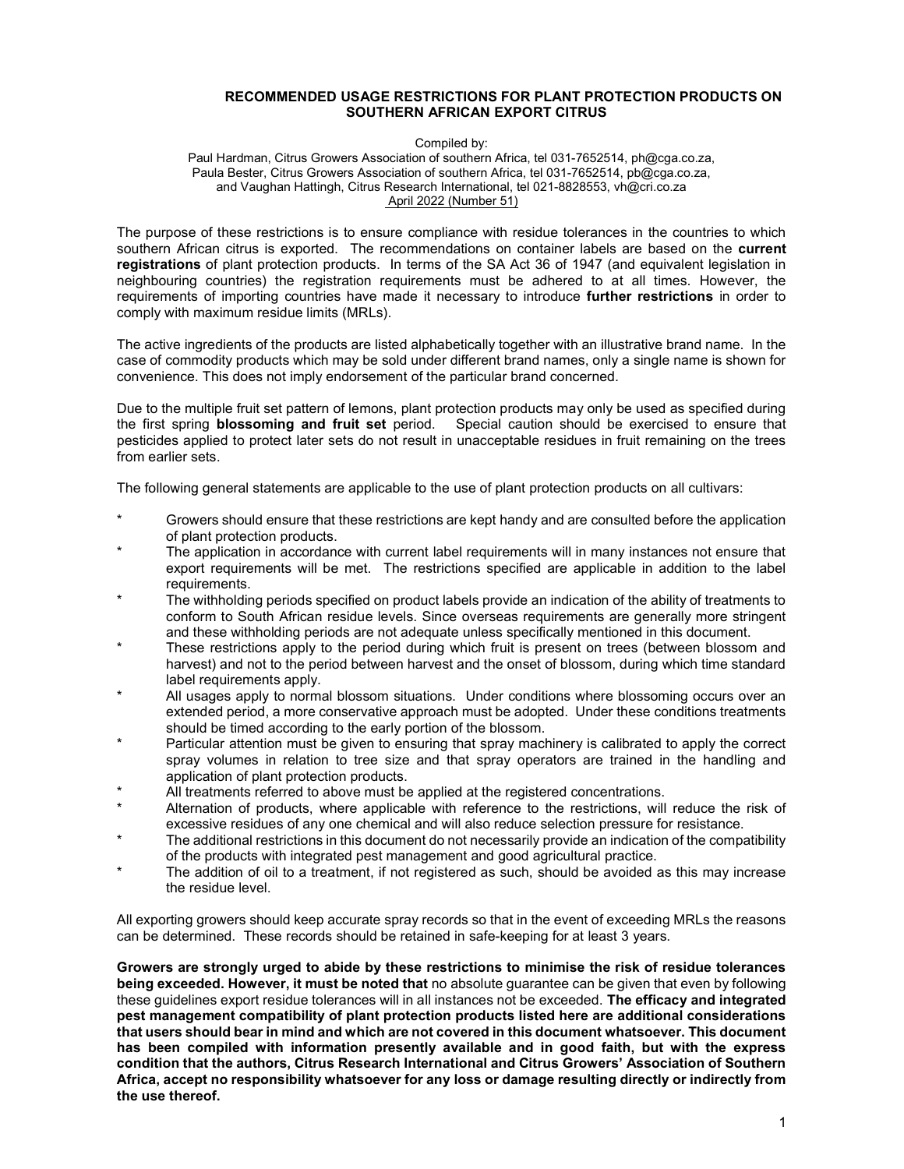#### RECOMMENDED USAGE RESTRICTIONS FOR PLANT PROTECTION PRODUCTS ON SOUTHERN AFRICAN EXPORT CITRUS

Compiled by:

#### Paul Hardman, Citrus Growers Association of southern Africa, tel 031-7652514, ph@cga.co.za, Paula Bester, Citrus Growers Association of southern Africa, tel 031-7652514, pb@cga.co.za, and Vaughan Hattingh, Citrus Research International, tel 021-8828553, vh@cri.co.za April 2022 (Number 51)

The purpose of these restrictions is to ensure compliance with residue tolerances in the countries to which southern African citrus is exported. The recommendations on container labels are based on the current registrations of plant protection products. In terms of the SA Act 36 of 1947 (and equivalent legislation in neighbouring countries) the registration requirements must be adhered to at all times. However, the requirements of importing countries have made it necessary to introduce **further restrictions** in order to comply with maximum residue limits (MRLs).

The active ingredients of the products are listed alphabetically together with an illustrative brand name. In the case of commodity products which may be sold under different brand names, only a single name is shown for convenience. This does not imply endorsement of the particular brand concerned.

Due to the multiple fruit set pattern of lemons, plant protection products may only be used as specified during the first spring blossoming and fruit set period. Special caution should be exercised to ensure that pesticides applied to protect later sets do not result in unacceptable residues in fruit remaining on the trees from earlier sets.

The following general statements are applicable to the use of plant protection products on all cultivars:

- Growers should ensure that these restrictions are kept handy and are consulted before the application of plant protection products.
- The application in accordance with current label requirements will in many instances not ensure that export requirements will be met. The restrictions specified are applicable in addition to the label requirements.
- The withholding periods specified on product labels provide an indication of the ability of treatments to conform to South African residue levels. Since overseas requirements are generally more stringent and these withholding periods are not adequate unless specifically mentioned in this document.
- These restrictions apply to the period during which fruit is present on trees (between blossom and harvest) and not to the period between harvest and the onset of blossom, during which time standard label requirements apply.
- All usages apply to normal blossom situations. Under conditions where blossoming occurs over an extended period, a more conservative approach must be adopted. Under these conditions treatments should be timed according to the early portion of the blossom.
- Particular attention must be given to ensuring that spray machinery is calibrated to apply the correct spray volumes in relation to tree size and that spray operators are trained in the handling and application of plant protection products.
- All treatments referred to above must be applied at the registered concentrations.
- Alternation of products, where applicable with reference to the restrictions, will reduce the risk of excessive residues of any one chemical and will also reduce selection pressure for resistance.
- The additional restrictions in this document do not necessarily provide an indication of the compatibility of the products with integrated pest management and good agricultural practice.
- The addition of oil to a treatment, if not registered as such, should be avoided as this may increase the residue level.

All exporting growers should keep accurate spray records so that in the event of exceeding MRLs the reasons can be determined. These records should be retained in safe-keeping for at least 3 years.

Growers are strongly urged to abide by these restrictions to minimise the risk of residue tolerances being exceeded. However, it must be noted that no absolute guarantee can be given that even by following these guidelines export residue tolerances will in all instances not be exceeded. The efficacy and integrated pest management compatibility of plant protection products listed here are additional considerations that users should bear in mind and which are not covered in this document whatsoever. This document has been compiled with information presently available and in good faith, but with the express condition that the authors, Citrus Research International and Citrus Growers' Association of Southern Africa, accept no responsibility whatsoever for any loss or damage resulting directly or indirectly from the use thereof.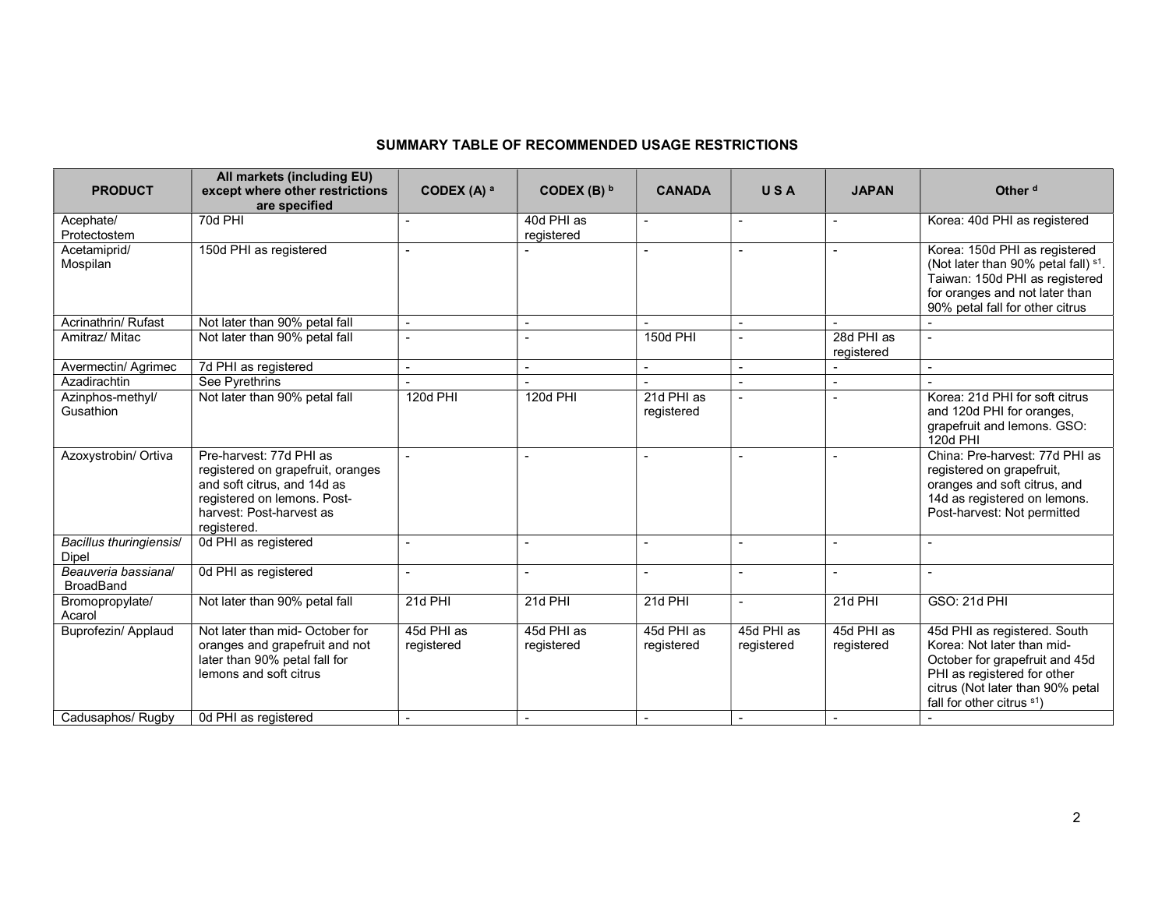## SUMMARY TABLE OF RECOMMENDED USAGE RESTRICTIONS

| <b>PRODUCT</b>                          | All markets (including EU)<br>except where other restrictions<br>are specified                                                                                        | CODEX (A) a              | CODEX (B) b              | <b>CANADA</b>            | USA                      | <b>JAPAN</b>               | Other <sup>d</sup>                                                                                                                                                                                       |
|-----------------------------------------|-----------------------------------------------------------------------------------------------------------------------------------------------------------------------|--------------------------|--------------------------|--------------------------|--------------------------|----------------------------|----------------------------------------------------------------------------------------------------------------------------------------------------------------------------------------------------------|
| Acephate/<br>Protectostem               | 70d PHI                                                                                                                                                               |                          | 40d PHI as<br>registered |                          |                          |                            | Korea: 40d PHI as registered                                                                                                                                                                             |
| Acetamiprid/<br>Mospilan                | 150d PHI as registered                                                                                                                                                |                          |                          |                          |                          |                            | Korea: 150d PHI as registered<br>(Not later than 90% petal fall) s1.<br>Taiwan: 150d PHI as registered<br>for oranges and not later than<br>90% petal fall for other citrus                              |
| Acrinathrin/ Rufast                     | Not later than 90% petal fall                                                                                                                                         | $\sim$                   |                          |                          | $\sim$                   |                            |                                                                                                                                                                                                          |
| Amitraz/ Mitac                          | Not later than 90% petal fall                                                                                                                                         |                          |                          | 150d PHI                 |                          | 28d PHI as<br>registered   |                                                                                                                                                                                                          |
| Avermectin/ Agrimec                     | 7d PHI as registered                                                                                                                                                  | $\overline{a}$           | $\sim$                   |                          | $\sim$                   |                            |                                                                                                                                                                                                          |
| Azadirachtin                            | See Pyrethrins                                                                                                                                                        |                          |                          |                          | $\mathbf{r}$             |                            |                                                                                                                                                                                                          |
| Azinphos-methyl/<br>Gusathion           | Not later than 90% petal fall                                                                                                                                         | 120d PHI                 | 120d PHI                 | 21d PHI as<br>registered |                          |                            | Korea: 21d PHI for soft citrus<br>and 120d PHI for oranges,<br>grapefruit and lemons. GSO:<br>120d PHI                                                                                                   |
| Azoxystrobin/ Ortiva                    | Pre-harvest: 77d PHI as<br>registered on grapefruit, oranges<br>and soft citrus, and 14d as<br>registered on lemons. Post-<br>harvest: Post-harvest as<br>registered. | $\overline{a}$           |                          | $\overline{\phantom{a}}$ |                          | $\blacksquare$             | China: Pre-harvest: 77d PHI as<br>registered on grapefruit,<br>oranges and soft citrus, and<br>14d as registered on lemons.<br>Post-harvest: Not permitted                                               |
| <b>Bacillus thuringiensis/</b><br>Dipel | 0d PHI as registered                                                                                                                                                  |                          | $\overline{\phantom{a}}$ | $\sim$                   | $\blacksquare$           | $\blacksquare$             | $\sim$                                                                                                                                                                                                   |
| Beauveria bassiana/<br><b>BroadBand</b> | 0d PHI as registered                                                                                                                                                  | $\overline{\phantom{a}}$ | $\blacksquare$           | $\overline{\phantom{a}}$ | $\overline{\phantom{a}}$ |                            | $\overline{\phantom{a}}$                                                                                                                                                                                 |
| Bromopropylate/<br>Acarol               | Not later than 90% petal fall                                                                                                                                         | 21d PHI                  | 21d PHI                  | 21d PHI                  | $\blacksquare$           | 21d PHI                    | GSO: 21d PHI                                                                                                                                                                                             |
| Buprofezin/ Applaud                     | Not later than mid- October for<br>oranges and grapefruit and not<br>later than 90% petal fall for<br>lemons and soft citrus                                          | 45d PHI as<br>registered | 45d PHI as<br>registered | 45d PHI as<br>registered | 45d PHI as<br>registered | $45d$ PHI as<br>registered | 45d PHI as registered. South<br>Korea: Not later than mid-<br>October for grapefruit and 45d<br>PHI as registered for other<br>citrus (Not later than 90% petal<br>fall for other citrus <sup>s1</sup> ) |
| Cadusaphos/ Rugby                       | 0d PHI as registered                                                                                                                                                  |                          |                          |                          |                          |                            |                                                                                                                                                                                                          |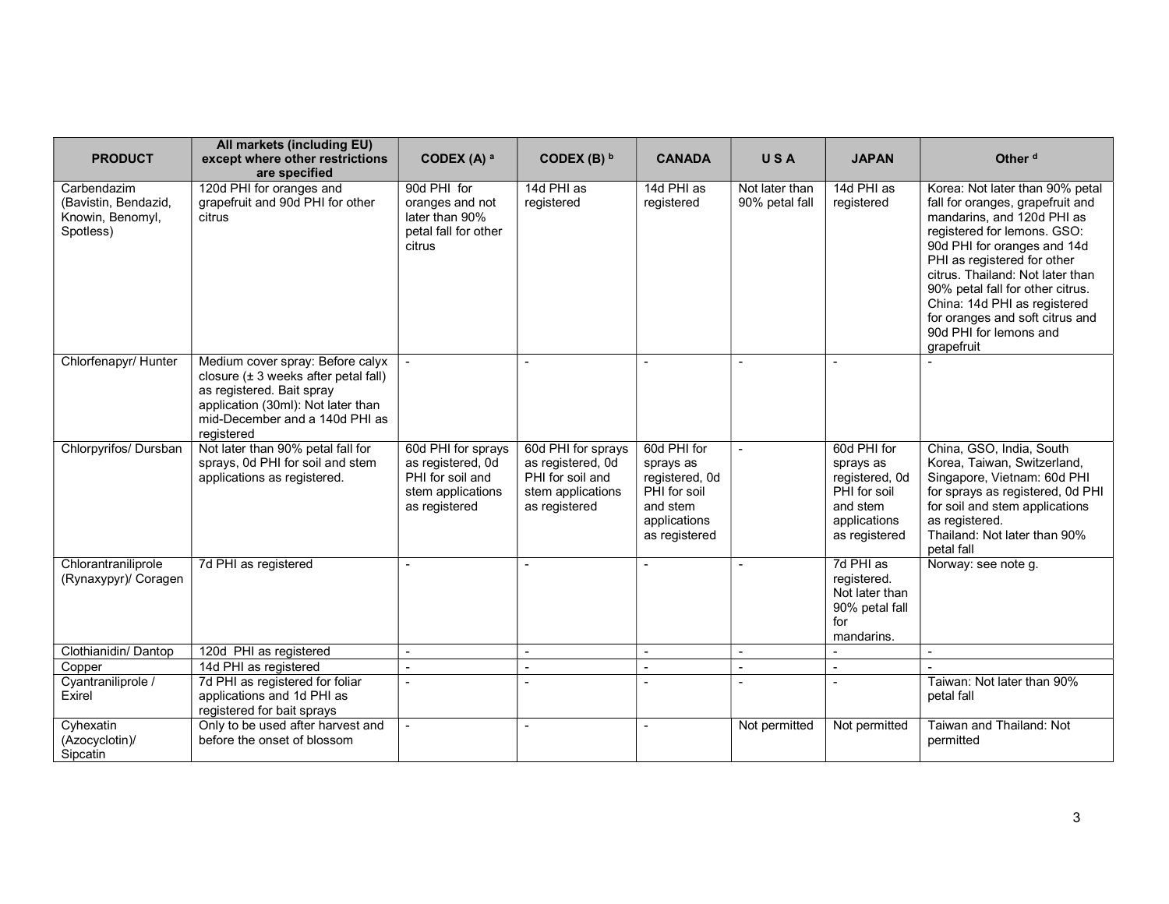| <b>PRODUCT</b>                                                       | All markets (including EU)<br>except where other restrictions<br>are specified                                                                                                                  | CODEX (A) a                                                                                       | CODEX (B) $b$                                                                                     | <b>CANADA</b>                                                                                           | USA                              | <b>JAPAN</b>                                                                                            | Other <sup>d</sup>                                                                                                                                                                                                                                                                                                                                                                |
|----------------------------------------------------------------------|-------------------------------------------------------------------------------------------------------------------------------------------------------------------------------------------------|---------------------------------------------------------------------------------------------------|---------------------------------------------------------------------------------------------------|---------------------------------------------------------------------------------------------------------|----------------------------------|---------------------------------------------------------------------------------------------------------|-----------------------------------------------------------------------------------------------------------------------------------------------------------------------------------------------------------------------------------------------------------------------------------------------------------------------------------------------------------------------------------|
| Carbendazim<br>(Bavistin, Bendazid,<br>Knowin, Benomyl,<br>Spotless) | 120d PHI for oranges and<br>grapefruit and 90d PHI for other<br>citrus                                                                                                                          | 90d PHI for<br>oranges and not<br>later than 90%<br>petal fall for other<br>citrus                | 14d PHI as<br>registered                                                                          | 14d PHI as<br>registered                                                                                | Not later than<br>90% petal fall | 14d PHI as<br>registered                                                                                | Korea: Not later than 90% petal<br>fall for oranges, grapefruit and<br>mandarins, and 120d PHI as<br>registered for lemons. GSO:<br>90d PHI for oranges and 14d<br>PHI as registered for other<br>citrus. Thailand: Not later than<br>90% petal fall for other citrus.<br>China: 14d PHI as registered<br>for oranges and soft citrus and<br>90d PHI for lemons and<br>grapefruit |
| Chlorfenapyr/ Hunter                                                 | Medium cover spray: Before calyx<br>closure $(\pm 3$ weeks after petal fall)<br>as registered. Bait spray<br>application (30ml): Not later than<br>mid-December and a 140d PHI as<br>registered |                                                                                                   |                                                                                                   | $\sim$                                                                                                  |                                  |                                                                                                         |                                                                                                                                                                                                                                                                                                                                                                                   |
| Chlorpyrifos/ Dursban                                                | Not later than 90% petal fall for<br>sprays, 0d PHI for soil and stem<br>applications as registered.                                                                                            | 60d PHI for sprays<br>as registered, 0d<br>PHI for soil and<br>stem applications<br>as registered | 60d PHI for sprays<br>as registered, 0d<br>PHI for soil and<br>stem applications<br>as registered | 60d PHI for<br>sprays as<br>registered, 0d<br>PHI for soil<br>and stem<br>applications<br>as registered |                                  | 60d PHI for<br>sprays as<br>registered, 0d<br>PHI for soil<br>and stem<br>applications<br>as registered | China, GSO, India, South<br>Korea, Taiwan, Switzerland,<br>Singapore, Vietnam: 60d PHI<br>for sprays as registered, 0d PHI<br>for soil and stem applications<br>as registered.<br>Thailand: Not later than 90%<br>petal fall                                                                                                                                                      |
| Chlorantraniliprole<br>(Rynaxypyr)/ Coragen                          | 7d PHI as registered                                                                                                                                                                            |                                                                                                   | $\overline{\phantom{a}}$                                                                          |                                                                                                         |                                  | 7d PHI as<br>registered.<br>Not later than<br>90% petal fall<br>for<br>mandarins.                       | Norway: see note g.                                                                                                                                                                                                                                                                                                                                                               |
| Clothianidin/Dantop                                                  | 120d PHI as registered                                                                                                                                                                          |                                                                                                   | $\blacksquare$                                                                                    |                                                                                                         | $\blacksquare$                   |                                                                                                         |                                                                                                                                                                                                                                                                                                                                                                                   |
| Copper                                                               | 14d PHI as registered                                                                                                                                                                           | $\sim$                                                                                            | $\overline{a}$                                                                                    | $\blacksquare$                                                                                          | $\overline{a}$                   | $\sim$                                                                                                  |                                                                                                                                                                                                                                                                                                                                                                                   |
| Cyantraniliprole /<br>Exirel                                         | 7d PHI as registered for foliar<br>applications and 1d PHI as<br>registered for bait sprays                                                                                                     |                                                                                                   | $\overline{\phantom{a}}$                                                                          | $\overline{\phantom{a}}$                                                                                |                                  | $\sim$                                                                                                  | Taiwan: Not later than 90%<br>petal fall                                                                                                                                                                                                                                                                                                                                          |
| Cyhexatin<br>(Azocyclotin)/<br>Sipcatin                              | Only to be used after harvest and<br>before the onset of blossom                                                                                                                                |                                                                                                   | ٠                                                                                                 | $\sim$                                                                                                  | Not permitted                    | Not permitted                                                                                           | Taiwan and Thailand: Not<br>permitted                                                                                                                                                                                                                                                                                                                                             |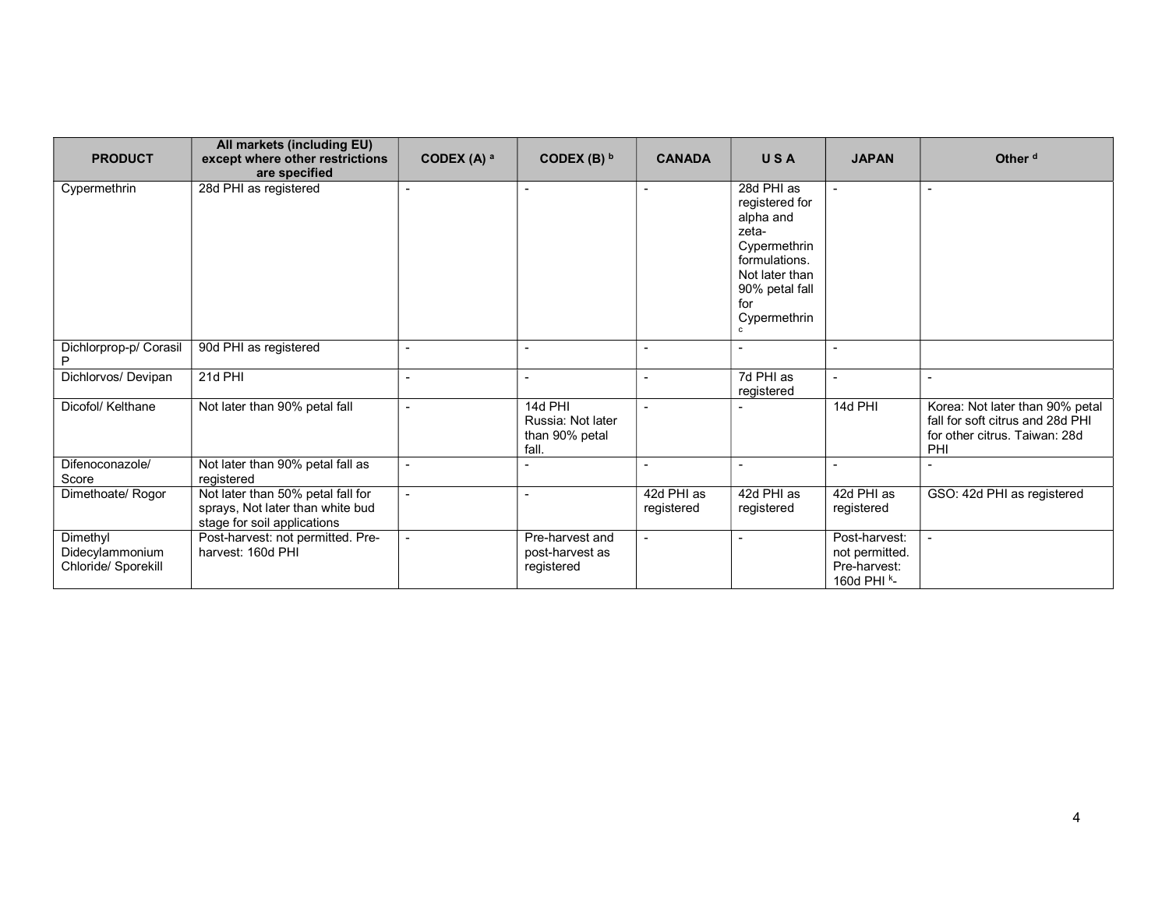| <b>PRODUCT</b>                                     | All markets (including EU)<br>except where other restrictions                                        | CODEX (A) a              | CODEX (B) $b$                                           | <b>CANADA</b>            | USA                                                                                                                                                 | <b>JAPAN</b>                                                   | Other <sup>d</sup>                                                                                          |
|----------------------------------------------------|------------------------------------------------------------------------------------------------------|--------------------------|---------------------------------------------------------|--------------------------|-----------------------------------------------------------------------------------------------------------------------------------------------------|----------------------------------------------------------------|-------------------------------------------------------------------------------------------------------------|
| Cypermethrin                                       | are specified<br>28d PHI as registered                                                               |                          | $\overline{\phantom{a}}$                                | $\overline{\phantom{a}}$ | 28d PHI as<br>registered for<br>alpha and<br>zeta-<br>Cypermethrin<br>formulations.<br>Not later than<br>90% petal fall<br>for<br>Cypermethrin<br>c | $\overline{\phantom{a}}$                                       | $\overline{\phantom{a}}$                                                                                    |
| Dichlorprop-p/ Corasil                             | 90d PHI as registered                                                                                |                          |                                                         |                          |                                                                                                                                                     |                                                                |                                                                                                             |
| Dichlorvos/ Devipan                                | $21d$ PHI                                                                                            | $\overline{\phantom{0}}$ | $\overline{\phantom{a}}$                                |                          | 7d PHI as<br>registered                                                                                                                             | $\blacksquare$                                                 | $\overline{\phantom{a}}$                                                                                    |
| Dicofol/ Kelthane                                  | Not later than 90% petal fall                                                                        | $\overline{\phantom{0}}$ | 14d PHI<br>Russia: Not later<br>than 90% petal<br>fall. |                          |                                                                                                                                                     | 14d PHI                                                        | Korea: Not later than 90% petal<br>fall for soft citrus and 28d PHI<br>for other citrus. Taiwan: 28d<br>PHI |
| Difenoconazole/<br>Score                           | Not later than 90% petal fall as<br>registered                                                       | $\blacksquare$           |                                                         |                          | $\blacksquare$                                                                                                                                      | $\overline{\phantom{0}}$                                       |                                                                                                             |
| Dimethoate/ Rogor                                  | Not later than 50% petal fall for<br>sprays, Not later than white bud<br>stage for soil applications |                          | $\blacksquare$                                          | 42d PHI as<br>registered | 42d PHI as<br>registered                                                                                                                            | 42d PHI as<br>registered                                       | GSO: 42d PHI as registered                                                                                  |
| Dimethyl<br>Didecylammonium<br>Chloride/ Sporekill | Post-harvest: not permitted. Pre-<br>harvest: 160d PHI                                               |                          | Pre-harvest and<br>post-harvest as<br>registered        |                          |                                                                                                                                                     | Post-harvest:<br>not permitted.<br>Pre-harvest:<br>160d PHI k- |                                                                                                             |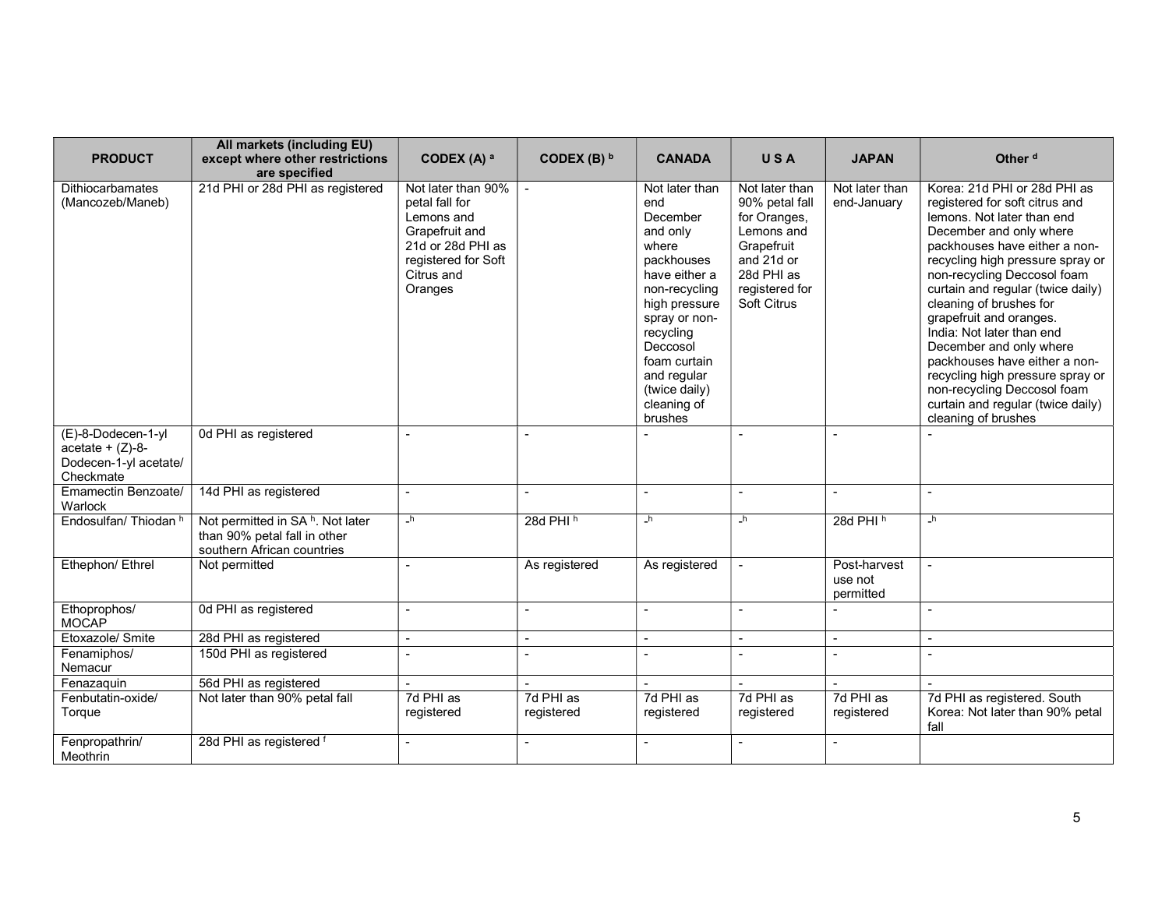|                                                                                | All markets (including EU)                                                                                 |                                                                                                                                           |                          |                                                                                                                                                                                                                                             |                                                                                                                                           |                                      |                                                                                                                                                                                                                                                                                                                                                                                                                                                                                                                                                |
|--------------------------------------------------------------------------------|------------------------------------------------------------------------------------------------------------|-------------------------------------------------------------------------------------------------------------------------------------------|--------------------------|---------------------------------------------------------------------------------------------------------------------------------------------------------------------------------------------------------------------------------------------|-------------------------------------------------------------------------------------------------------------------------------------------|--------------------------------------|------------------------------------------------------------------------------------------------------------------------------------------------------------------------------------------------------------------------------------------------------------------------------------------------------------------------------------------------------------------------------------------------------------------------------------------------------------------------------------------------------------------------------------------------|
| <b>PRODUCT</b>                                                                 | except where other restrictions<br>are specified                                                           | CODEX (A) a                                                                                                                               | CODEX (B) $b$            | <b>CANADA</b>                                                                                                                                                                                                                               | USA                                                                                                                                       | <b>JAPAN</b>                         | Other <sup>d</sup>                                                                                                                                                                                                                                                                                                                                                                                                                                                                                                                             |
| <b>Dithiocarbamates</b><br>(Mancozeb/Maneb)                                    | 21d PHI or 28d PHI as registered                                                                           | Not later than 90%<br>petal fall for<br>Lemons and<br>Grapefruit and<br>21d or 28d PHI as<br>registered for Soft<br>Citrus and<br>Oranges | $\sim$                   | Not later than<br>end<br>December<br>and only<br>where<br>packhouses<br>have either a<br>non-recycling<br>high pressure<br>spray or non-<br>recycling<br>Deccosol<br>foam curtain<br>and regular<br>(twice daily)<br>cleaning of<br>brushes | Not later than<br>90% petal fall<br>for Oranges,<br>Lemons and<br>Grapefruit<br>and 21d or<br>28d PHI as<br>registered for<br>Soft Citrus | Not later than<br>end-January        | Korea: 21d PHI or 28d PHI as<br>registered for soft citrus and<br>lemons. Not later than end<br>December and only where<br>packhouses have either a non-<br>recycling high pressure spray or<br>non-recycling Deccosol foam<br>curtain and regular (twice daily)<br>cleaning of brushes for<br>grapefruit and oranges.<br>India: Not later than end<br>December and only where<br>packhouses have either a non-<br>recycling high pressure spray or<br>non-recycling Deccosol foam<br>curtain and regular (twice daily)<br>cleaning of brushes |
| (E)-8-Dodecen-1-yl<br>$acetate + (Z)-8-$<br>Dodecen-1-yl acetate/<br>Checkmate | 0d PHI as registered                                                                                       |                                                                                                                                           |                          |                                                                                                                                                                                                                                             |                                                                                                                                           |                                      |                                                                                                                                                                                                                                                                                                                                                                                                                                                                                                                                                |
| Emamectin Benzoate/<br>Warlock                                                 | 14d PHI as registered                                                                                      | ÷.                                                                                                                                        | $\overline{a}$           | $\overline{\phantom{a}}$                                                                                                                                                                                                                    |                                                                                                                                           | $\overline{a}$                       | $\overline{a}$                                                                                                                                                                                                                                                                                                                                                                                                                                                                                                                                 |
| Endosulfan/ Thiodan h                                                          | Not permitted in SA <sup>h</sup> . Not later<br>than 90% petal fall in other<br>southern African countries | $\mathsf{h}$                                                                                                                              | $28d$ PHI <sup>h</sup>   | $\mathsf{h}$                                                                                                                                                                                                                                | $\mathsf{L}^{\mathsf{h}}$                                                                                                                 | 28d PHI <sup>h</sup>                 | $\mathsf{L}^{\mathsf{h}}$                                                                                                                                                                                                                                                                                                                                                                                                                                                                                                                      |
| Ethephon/ Ethrel                                                               | Not permitted                                                                                              | $\blacksquare$                                                                                                                            | As registered            | As registered                                                                                                                                                                                                                               | $\sim$                                                                                                                                    | Post-harvest<br>use not<br>permitted | $\sim$                                                                                                                                                                                                                                                                                                                                                                                                                                                                                                                                         |
| Ethoprophos/<br><b>MOCAP</b>                                                   | 0d PHI as registered                                                                                       | ÷                                                                                                                                         | $\overline{a}$           | $\blacksquare$                                                                                                                                                                                                                              | $\sim$                                                                                                                                    |                                      | $\overline{\phantom{a}}$                                                                                                                                                                                                                                                                                                                                                                                                                                                                                                                       |
| Etoxazole/ Smite                                                               | 28d PHI as registered                                                                                      |                                                                                                                                           | $\overline{\phantom{a}}$ | ä,                                                                                                                                                                                                                                          | $\sim$                                                                                                                                    |                                      |                                                                                                                                                                                                                                                                                                                                                                                                                                                                                                                                                |
| Fenamiphos/<br>Nemacur                                                         | 150d PHI as registered                                                                                     |                                                                                                                                           |                          |                                                                                                                                                                                                                                             |                                                                                                                                           |                                      |                                                                                                                                                                                                                                                                                                                                                                                                                                                                                                                                                |
| Fenazaguin                                                                     | 56d PHI as registered                                                                                      |                                                                                                                                           |                          |                                                                                                                                                                                                                                             |                                                                                                                                           |                                      |                                                                                                                                                                                                                                                                                                                                                                                                                                                                                                                                                |
| Fenbutatin-oxide/<br>Torque                                                    | Not later than 90% petal fall                                                                              | 7d PHI as<br>registered                                                                                                                   | 7d PHI as<br>registered  | 7d PHI as<br>registered                                                                                                                                                                                                                     | 7d PHI as<br>registered                                                                                                                   | 7d PHI as<br>registered              | 7d PHI as registered. South<br>Korea: Not later than 90% petal<br>fall                                                                                                                                                                                                                                                                                                                                                                                                                                                                         |
| Fenpropathrin/<br>Meothrin                                                     | 28d PHI as registered f                                                                                    |                                                                                                                                           |                          | $\blacksquare$                                                                                                                                                                                                                              |                                                                                                                                           |                                      |                                                                                                                                                                                                                                                                                                                                                                                                                                                                                                                                                |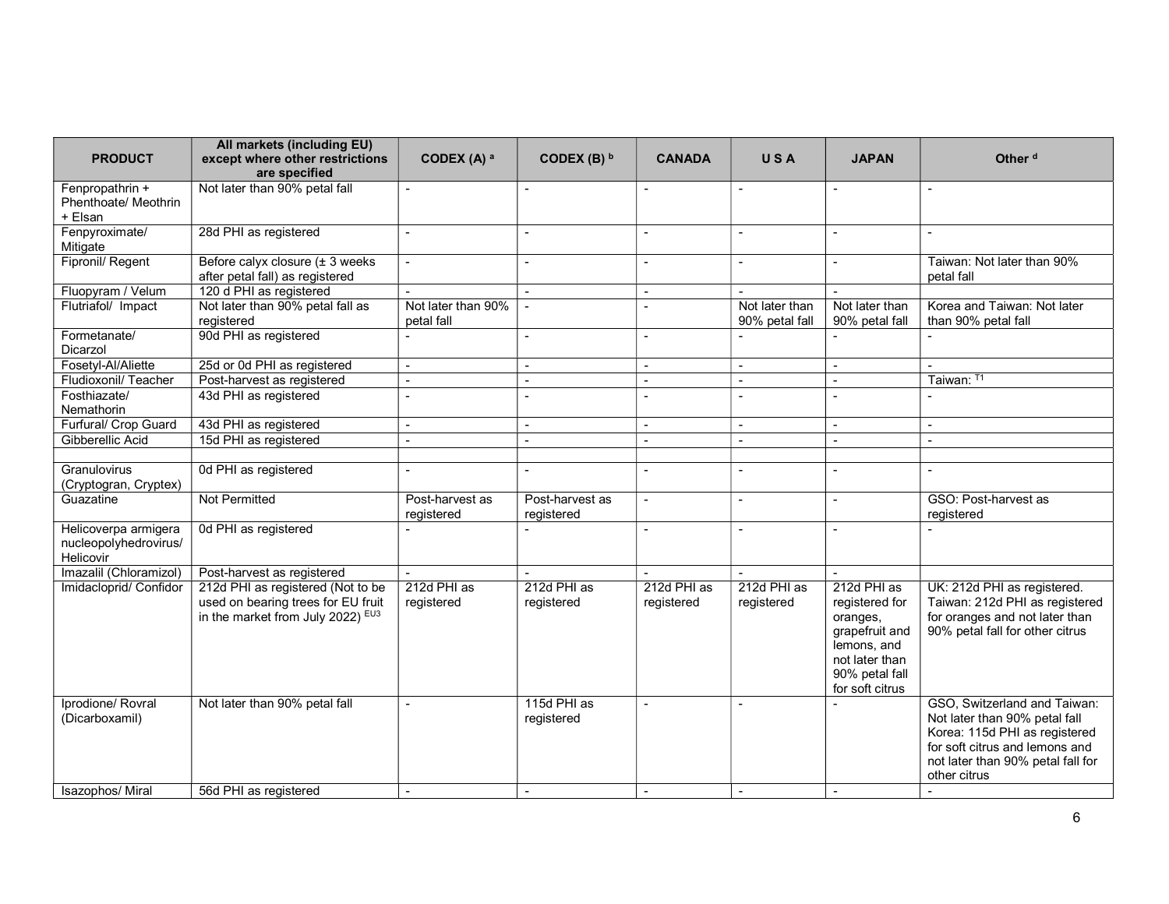| <b>PRODUCT</b>                                             | All markets (including EU)<br>except where other restrictions<br>are specified                               | CODEX (A) a                      | CODEX (B) b                         | <b>CANADA</b>             | USA                              | <b>JAPAN</b>                                                                                                                      | Other <sup>d</sup>                                                                                                                                                                              |
|------------------------------------------------------------|--------------------------------------------------------------------------------------------------------------|----------------------------------|-------------------------------------|---------------------------|----------------------------------|-----------------------------------------------------------------------------------------------------------------------------------|-------------------------------------------------------------------------------------------------------------------------------------------------------------------------------------------------|
| Fenpropathrin +<br>Phenthoate/ Meothrin<br>+ Elsan         | Not later than 90% petal fall                                                                                |                                  |                                     |                           |                                  |                                                                                                                                   |                                                                                                                                                                                                 |
| Fenpyroximate/<br>Mitigate                                 | 28d PHI as registered                                                                                        |                                  |                                     |                           | $\overline{a}$                   |                                                                                                                                   |                                                                                                                                                                                                 |
| Fipronil/ Regent                                           | Before calyx closure (± 3 weeks<br>after petal fall) as registered                                           |                                  |                                     | ÷,                        |                                  |                                                                                                                                   | Taiwan: Not later than 90%<br>petal fall                                                                                                                                                        |
| Fluopyram / Velum                                          | 120 d PHI as registered                                                                                      |                                  |                                     | $\sim$                    |                                  |                                                                                                                                   |                                                                                                                                                                                                 |
| Flutriafol/ Impact                                         | Not later than 90% petal fall as<br>registered                                                               | Not later than 90%<br>petal fall | $\overline{a}$                      | $\blacksquare$            | Not later than<br>90% petal fall | Not later than<br>90% petal fall                                                                                                  | Korea and Taiwan: Not later<br>than 90% petal fall                                                                                                                                              |
| Formetanate/<br>Dicarzol                                   | 90d PHI as registered                                                                                        | L.                               | $\overline{a}$                      | $\overline{a}$            |                                  |                                                                                                                                   |                                                                                                                                                                                                 |
| Fosetyl-Al/Aliette                                         | 25d or 0d PHI as registered                                                                                  |                                  |                                     |                           | $\sim$                           |                                                                                                                                   |                                                                                                                                                                                                 |
| Fludioxonil/Teacher                                        | Post-harvest as registered                                                                                   | $\overline{a}$                   | $\sim$                              | $\overline{a}$            | $\sim$                           | $\overline{a}$                                                                                                                    | Taiwan: T1                                                                                                                                                                                      |
| Fosthiazate/<br>Nemathorin                                 | 43d PHI as registered                                                                                        |                                  |                                     | ÷,                        |                                  |                                                                                                                                   |                                                                                                                                                                                                 |
| Furfural/ Crop Guard                                       | 43d PHI as registered                                                                                        |                                  |                                     |                           | $\sim$                           | $\overline{a}$                                                                                                                    | $\overline{a}$                                                                                                                                                                                  |
| Gibberellic Acid                                           | 15d PHI as registered                                                                                        |                                  |                                     | $\blacksquare$            | $\sim$                           | $\overline{a}$                                                                                                                    | ÷,                                                                                                                                                                                              |
|                                                            |                                                                                                              |                                  |                                     |                           |                                  |                                                                                                                                   |                                                                                                                                                                                                 |
| Granulovirus<br>(Cryptogran, Cryptex)                      | 0d PHI as registered                                                                                         |                                  |                                     | $\overline{a}$            | $\sim$                           |                                                                                                                                   | $\overline{a}$                                                                                                                                                                                  |
| Guazatine                                                  | <b>Not Permitted</b>                                                                                         | Post-harvest as<br>registered    | Post-harvest as<br>registered       | $\sim$                    | $\sim$                           | $\overline{a}$                                                                                                                    | GSO: Post-harvest as<br>registered                                                                                                                                                              |
| Helicoverpa armigera<br>nucleopolyhedrovirus/<br>Helicovir | 0d PHI as registered                                                                                         |                                  |                                     | $\blacksquare$            |                                  | $\blacksquare$                                                                                                                    |                                                                                                                                                                                                 |
| Imazalil (Chloramizol)                                     | Post-harvest as registered                                                                                   |                                  |                                     |                           |                                  |                                                                                                                                   |                                                                                                                                                                                                 |
| Imidacloprid/ Confidor                                     | 212d PHI as registered (Not to be<br>used on bearing trees for EU fruit<br>in the market from July 2022) EU3 | 212d PHI as<br>registered        | 212d PHI as<br>registered           | 212d PHI as<br>registered | 212d PHI as<br>registered        | 212d PHI as<br>registered for<br>oranges,<br>grapefruit and<br>lemons, and<br>not later than<br>90% petal fall<br>for soft citrus | UK: 212d PHI as registered.<br>Taiwan: 212d PHI as registered<br>for oranges and not later than<br>90% petal fall for other citrus                                                              |
| Iprodione/ Rovral<br>(Dicarboxamil)<br>Isazophos/ Miral    | Not later than 90% petal fall<br>56d PHI as registered                                                       | $\sim$                           | 115d PHI as<br>registered<br>$\sim$ | $\sim$<br>$\sim$          |                                  |                                                                                                                                   | GSO, Switzerland and Taiwan:<br>Not later than 90% petal fall<br>Korea: 115d PHI as registered<br>for soft citrus and lemons and<br>not later than 90% petal fall for<br>other citrus<br>$\sim$ |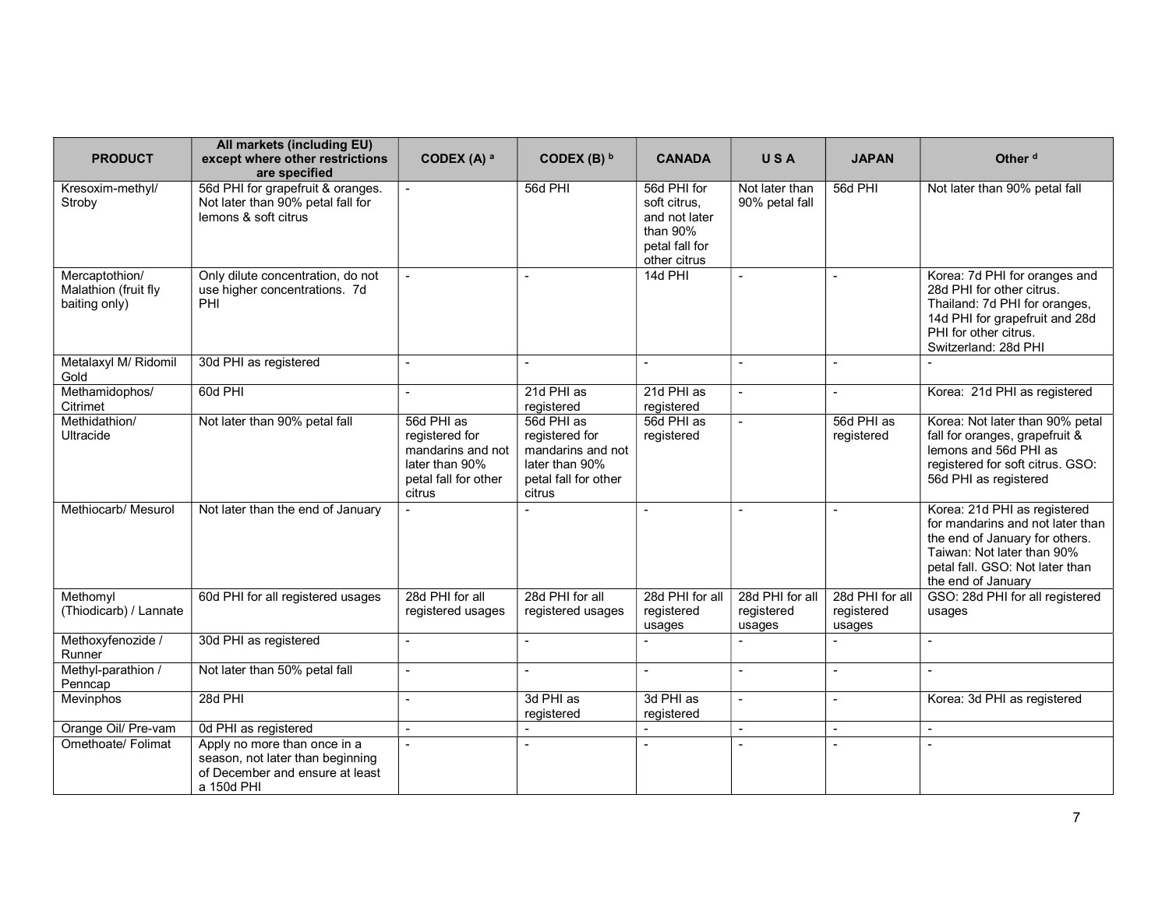| <b>PRODUCT</b>                                          | All markets (including EU)<br>except where other restrictions<br>are specified                                    | CODEX (A) a                                                                                           | CODEX (B) $b$                                                                                         | <b>CANADA</b>                                                                              | <b>USA</b>                              | <b>JAPAN</b>                            | Other <sup>d</sup>                                                                                                                                                                        |
|---------------------------------------------------------|-------------------------------------------------------------------------------------------------------------------|-------------------------------------------------------------------------------------------------------|-------------------------------------------------------------------------------------------------------|--------------------------------------------------------------------------------------------|-----------------------------------------|-----------------------------------------|-------------------------------------------------------------------------------------------------------------------------------------------------------------------------------------------|
| Kresoxim-methyl/<br>Stroby                              | 56d PHI for grapefruit & oranges.<br>Not later than 90% petal fall for<br>lemons & soft citrus                    |                                                                                                       | 56d PHI                                                                                               | 56d PHI for<br>soft citrus.<br>and not later<br>than 90%<br>petal fall for<br>other citrus | Not later than<br>90% petal fall        | 56d PHI                                 | Not later than 90% petal fall                                                                                                                                                             |
| Mercaptothion/<br>Malathion (fruit fly<br>baiting only) | Only dilute concentration, do not<br>use higher concentrations. 7d<br>PHI                                         |                                                                                                       |                                                                                                       | 14d PHI                                                                                    |                                         |                                         | Korea: 7d PHI for oranges and<br>28d PHI for other citrus.<br>Thailand: 7d PHI for oranges,<br>14d PHI for grapefruit and 28d<br>PHI for other citrus.<br>Switzerland: 28d PHI            |
| Metalaxyl M/ Ridomil<br>Gold                            | 30d PHI as registered                                                                                             |                                                                                                       |                                                                                                       |                                                                                            |                                         |                                         |                                                                                                                                                                                           |
| Methamidophos/<br>Citrimet                              | 60d PHI                                                                                                           |                                                                                                       | 21d PHI as<br>registered                                                                              | 21d PHI as<br>registered                                                                   | $\sim$                                  | $\blacksquare$                          | Korea: 21d PHI as registered                                                                                                                                                              |
| Methidathion/<br>Ultracide                              | Not later than 90% petal fall                                                                                     | 56d PHI as<br>registered for<br>mandarins and not<br>later than 90%<br>petal fall for other<br>citrus | 56d PHI as<br>registered for<br>mandarins and not<br>later than 90%<br>petal fall for other<br>citrus | 56d PHI as<br>registered                                                                   | $\overline{a}$                          | 56d PHI as<br>registered                | Korea: Not later than 90% petal<br>fall for oranges, grapefruit &<br>lemons and 56d PHI as<br>registered for soft citrus. GSO:<br>56d PHI as registered                                   |
| Methiocarb/ Mesurol                                     | Not later than the end of January                                                                                 |                                                                                                       |                                                                                                       | $\overline{a}$                                                                             |                                         | $\overline{a}$                          | Korea: 21d PHI as registered<br>for mandarins and not later than<br>the end of January for others.<br>Taiwan: Not later than 90%<br>petal fall. GSO: Not later than<br>the end of January |
| Methomvl<br>(Thiodicarb) / Lannate                      | 60d PHI for all registered usages                                                                                 | 28d PHI for all<br>registered usages                                                                  | 28d PHI for all<br>registered usages                                                                  | 28d PHI for all<br>registered<br>usages                                                    | 28d PHI for all<br>registered<br>usages | 28d PHI for all<br>registered<br>usages | GSO: 28d PHI for all registered<br>usages                                                                                                                                                 |
| Methoxyfenozide /<br>Runner                             | 30d PHI as registered                                                                                             |                                                                                                       |                                                                                                       |                                                                                            |                                         |                                         |                                                                                                                                                                                           |
| Methyl-parathion /<br>Penncap                           | Not later than 50% petal fall                                                                                     |                                                                                                       |                                                                                                       |                                                                                            |                                         |                                         |                                                                                                                                                                                           |
| <b>Mevinphos</b>                                        | 28d PHI                                                                                                           | $\overline{a}$                                                                                        | 3d PHI as<br>registered                                                                               | 3d PHI as<br>registered                                                                    | $\sim$                                  | $\blacksquare$                          | Korea: 3d PHI as registered                                                                                                                                                               |
| Orange Oil/ Pre-vam                                     | 0d PHI as registered                                                                                              |                                                                                                       |                                                                                                       |                                                                                            |                                         | $\sim$                                  | $\sim$                                                                                                                                                                                    |
| Omethoate/ Folimat                                      | Apply no more than once in a<br>season, not later than beginning<br>of December and ensure at least<br>a 150d PHI |                                                                                                       |                                                                                                       | $\overline{a}$                                                                             |                                         |                                         | $\overline{\phantom{a}}$                                                                                                                                                                  |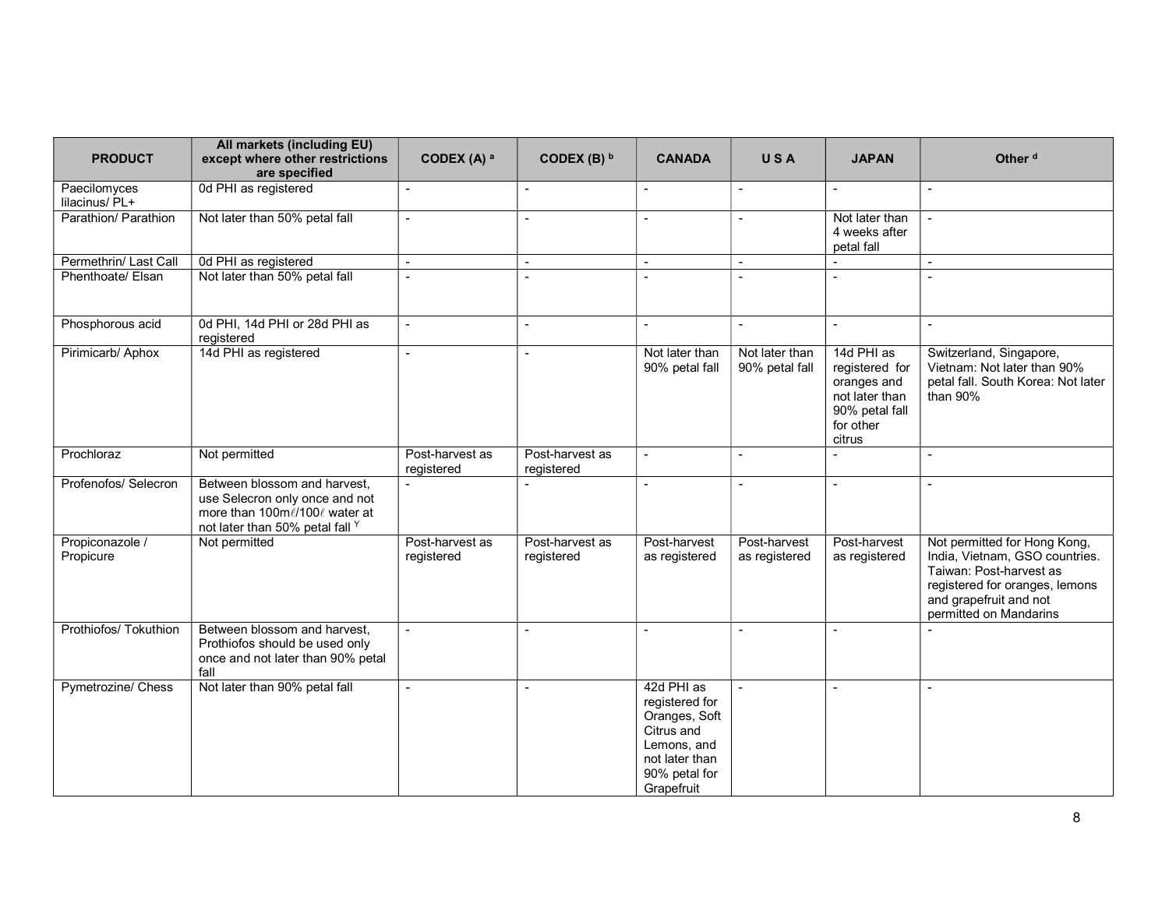| <b>PRODUCT</b>                 | All markets (including EU)<br>except where other restrictions<br>are specified                                                     | CODEX (A) a                   | CODEX (B) b                   | <b>CANADA</b>                                                                                                               | USA                              | <b>JAPAN</b>                                                                                           | Other <sup>d</sup>                                                                                                                                                              |
|--------------------------------|------------------------------------------------------------------------------------------------------------------------------------|-------------------------------|-------------------------------|-----------------------------------------------------------------------------------------------------------------------------|----------------------------------|--------------------------------------------------------------------------------------------------------|---------------------------------------------------------------------------------------------------------------------------------------------------------------------------------|
| Paecilomyces<br>lilacinus/ PL+ | 0d PHI as registered                                                                                                               |                               |                               |                                                                                                                             |                                  | $\sim$                                                                                                 |                                                                                                                                                                                 |
| Parathion/ Parathion           | Not later than 50% petal fall                                                                                                      | $\overline{a}$                |                               |                                                                                                                             |                                  | Not later than<br>4 weeks after<br>petal fall                                                          |                                                                                                                                                                                 |
| Permethrin/ Last Call          | 0d PHI as registered                                                                                                               | $\overline{a}$                |                               |                                                                                                                             |                                  |                                                                                                        |                                                                                                                                                                                 |
| Phenthoate/ Elsan              | Not later than 50% petal fall                                                                                                      | $\overline{a}$                |                               |                                                                                                                             |                                  |                                                                                                        |                                                                                                                                                                                 |
| Phosphorous acid               | 0d PHI, 14d PHI or 28d PHI as<br>registered                                                                                        | $\blacksquare$                | $\sim$                        | $\blacksquare$                                                                                                              | L.                               | $\blacksquare$                                                                                         | $\blacksquare$                                                                                                                                                                  |
| Pirimicarb/ Aphox              | 14d PHI as registered                                                                                                              | $\mathcal{L}$                 | $\overline{a}$                | Not later than<br>90% petal fall                                                                                            | Not later than<br>90% petal fall | 14d PHI as<br>registered for<br>oranges and<br>not later than<br>90% petal fall<br>for other<br>citrus | Switzerland, Singapore,<br>Vietnam: Not later than 90%<br>petal fall. South Korea: Not later<br>than 90%                                                                        |
| Prochloraz                     | Not permitted                                                                                                                      | Post-harvest as<br>registered | Post-harvest as<br>registered | $\overline{a}$                                                                                                              | $\overline{a}$                   | $\overline{a}$                                                                                         | $\overline{a}$                                                                                                                                                                  |
| Profenofos/ Selecron           | Between blossom and harvest,<br>use Selecron only once and not<br>more than 100ml/100l water at<br>not later than 50% petal fall Y |                               |                               | $\sim$                                                                                                                      | $\overline{a}$                   | $\blacksquare$                                                                                         | $\overline{\phantom{a}}$                                                                                                                                                        |
| Propiconazole /<br>Propicure   | Not permitted                                                                                                                      | Post-harvest as<br>registered | Post-harvest as<br>registered | Post-harvest<br>as registered                                                                                               | Post-harvest<br>as registered    | Post-harvest<br>as registered                                                                          | Not permitted for Hong Kong,<br>India, Vietnam, GSO countries.<br>Taiwan: Post-harvest as<br>registered for oranges, lemons<br>and grapefruit and not<br>permitted on Mandarins |
| Prothiofos/ Tokuthion          | Between blossom and harvest,<br>Prothiofos should be used only<br>once and not later than 90% petal<br>fall                        | $\blacksquare$                | $\overline{a}$                | $\blacksquare$                                                                                                              | $\overline{a}$                   | $\blacksquare$                                                                                         |                                                                                                                                                                                 |
| Pymetrozine/ Chess             | Not later than 90% petal fall                                                                                                      | $\mathbf{r}$                  | $\overline{a}$                | 42d PHI as<br>registered for<br>Oranges, Soft<br>Citrus and<br>Lemons, and<br>not later than<br>90% petal for<br>Grapefruit | $\sim$                           |                                                                                                        | $\overline{a}$                                                                                                                                                                  |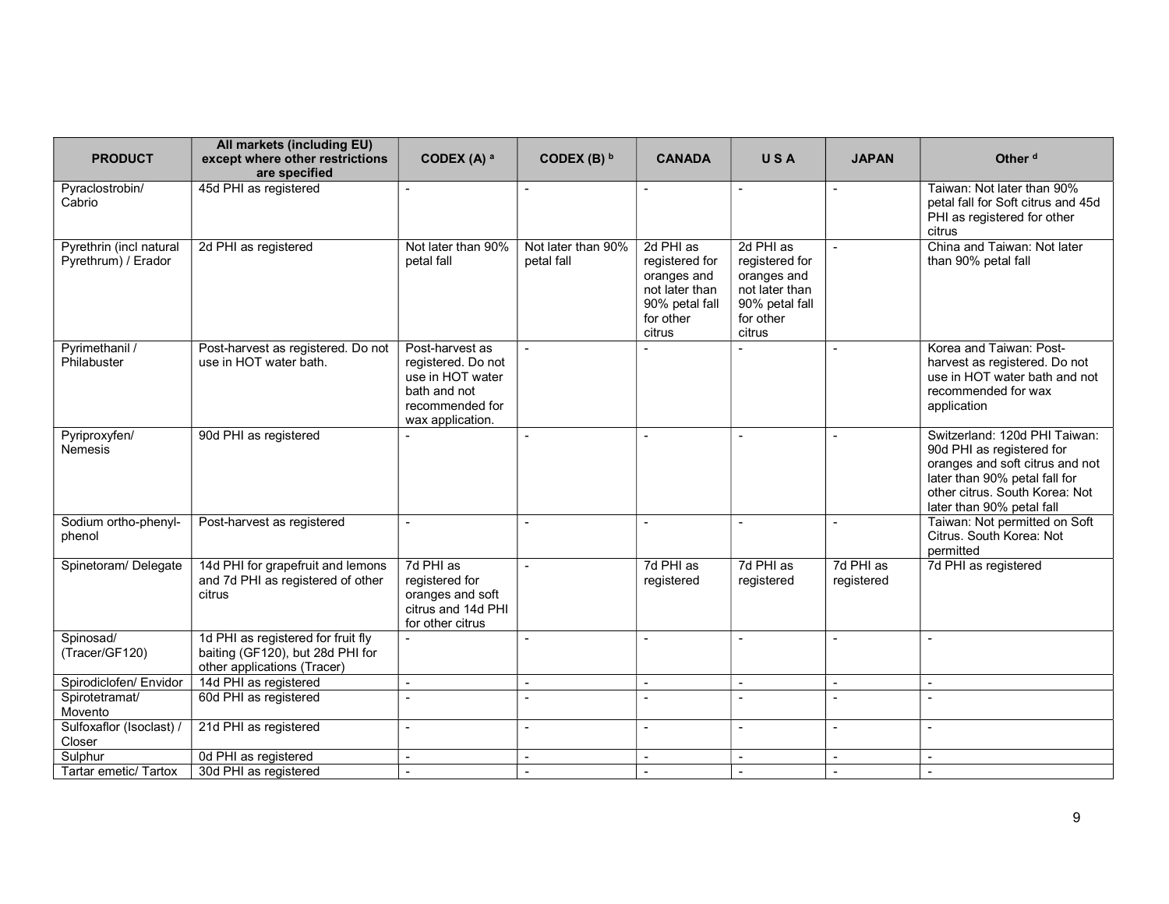| <b>PRODUCT</b>                                 | All markets (including EU)<br>except where other restrictions<br>are specified                        | CODEX (A) a                                                                                                      | CODEX (B) b                      | <b>CANADA</b>                                                                                         | <b>USA</b>                                                                                            | <b>JAPAN</b>            | Other <sup>d</sup>                                                                                                                                                                            |
|------------------------------------------------|-------------------------------------------------------------------------------------------------------|------------------------------------------------------------------------------------------------------------------|----------------------------------|-------------------------------------------------------------------------------------------------------|-------------------------------------------------------------------------------------------------------|-------------------------|-----------------------------------------------------------------------------------------------------------------------------------------------------------------------------------------------|
| Pyraclostrobin/<br>Cabrio                      | 45d PHI as registered                                                                                 | $\overline{a}$                                                                                                   |                                  |                                                                                                       |                                                                                                       | $\sim$                  | Taiwan: Not later than 90%<br>petal fall for Soft citrus and 45d<br>PHI as registered for other<br>citrus                                                                                     |
| Pyrethrin (incl natural<br>Pyrethrum) / Erador | 2d PHI as registered                                                                                  | Not later than 90%<br>petal fall                                                                                 | Not later than 90%<br>petal fall | 2d PHI as<br>registered for<br>oranges and<br>not later than<br>90% petal fall<br>for other<br>citrus | 2d PHI as<br>registered for<br>oranges and<br>not later than<br>90% petal fall<br>for other<br>citrus |                         | China and Taiwan: Not later<br>than 90% petal fall                                                                                                                                            |
| Pyrimethanil /<br>Philabuster                  | Post-harvest as registered. Do not<br>use in HOT water bath.                                          | Post-harvest as<br>registered. Do not<br>use in HOT water<br>bath and not<br>recommended for<br>wax application. |                                  |                                                                                                       |                                                                                                       |                         | Korea and Taiwan: Post-<br>harvest as registered. Do not<br>use in HOT water bath and not<br>recommended for wax<br>application                                                               |
| Pyriproxyfen/<br><b>Nemesis</b>                | 90d PHI as registered                                                                                 |                                                                                                                  |                                  |                                                                                                       |                                                                                                       |                         | Switzerland: 120d PHI Taiwan:<br>90d PHI as registered for<br>oranges and soft citrus and not<br>later than 90% petal fall for<br>other citrus. South Korea: Not<br>later than 90% petal fall |
| Sodium ortho-phenyl-<br>phenol                 | Post-harvest as registered                                                                            |                                                                                                                  |                                  | $\overline{\phantom{a}}$                                                                              | $\overline{a}$                                                                                        |                         | Taiwan: Not permitted on Soft<br>Citrus. South Korea: Not<br>permitted                                                                                                                        |
| Spinetoram/ Delegate                           | 14d PHI for grapefruit and lemons<br>and 7d PHI as registered of other<br>citrus                      | 7d PHI as<br>registered for<br>oranges and soft<br>citrus and 14d PHI<br>for other citrus                        | $\sim$                           | 7d PHI as<br>registered                                                                               | 7d PHI as<br>registered                                                                               | 7d PHI as<br>registered | 7d PHI as registered                                                                                                                                                                          |
| Spinosad/<br>(Tracer/GF120)                    | 1d PHI as registered for fruit fly<br>baiting (GF120), but 28d PHI for<br>other applications (Tracer) | $\overline{a}$                                                                                                   | $\overline{a}$                   | $\overline{a}$                                                                                        | $\overline{a}$                                                                                        | $\overline{a}$          | $\sim$                                                                                                                                                                                        |
| Spirodiclofen/ Envidor                         | 14d PHI as registered                                                                                 |                                                                                                                  |                                  |                                                                                                       |                                                                                                       |                         |                                                                                                                                                                                               |
| Spirotetramat/<br>Movento                      | 60d PHI as registered                                                                                 | $\overline{a}$                                                                                                   |                                  |                                                                                                       | ÷                                                                                                     |                         | $\blacksquare$                                                                                                                                                                                |
| Sulfoxaflor (Isoclast) /<br>Closer             | 21d PHI as registered                                                                                 |                                                                                                                  |                                  |                                                                                                       |                                                                                                       |                         |                                                                                                                                                                                               |
| Sulphur                                        | 0d PHI as registered                                                                                  | $\overline{\phantom{a}}$                                                                                         | $\sim$                           | $\blacksquare$                                                                                        | $\overline{\phantom{a}}$                                                                              |                         | $\blacksquare$                                                                                                                                                                                |
| Tartar emetic/ Tartox                          | 30d PHI as registered                                                                                 | $\mathbf{r}$                                                                                                     | $\sim$                           | $\overline{\phantom{a}}$                                                                              | $\sim$                                                                                                | $\sim$                  | $\overline{\phantom{a}}$                                                                                                                                                                      |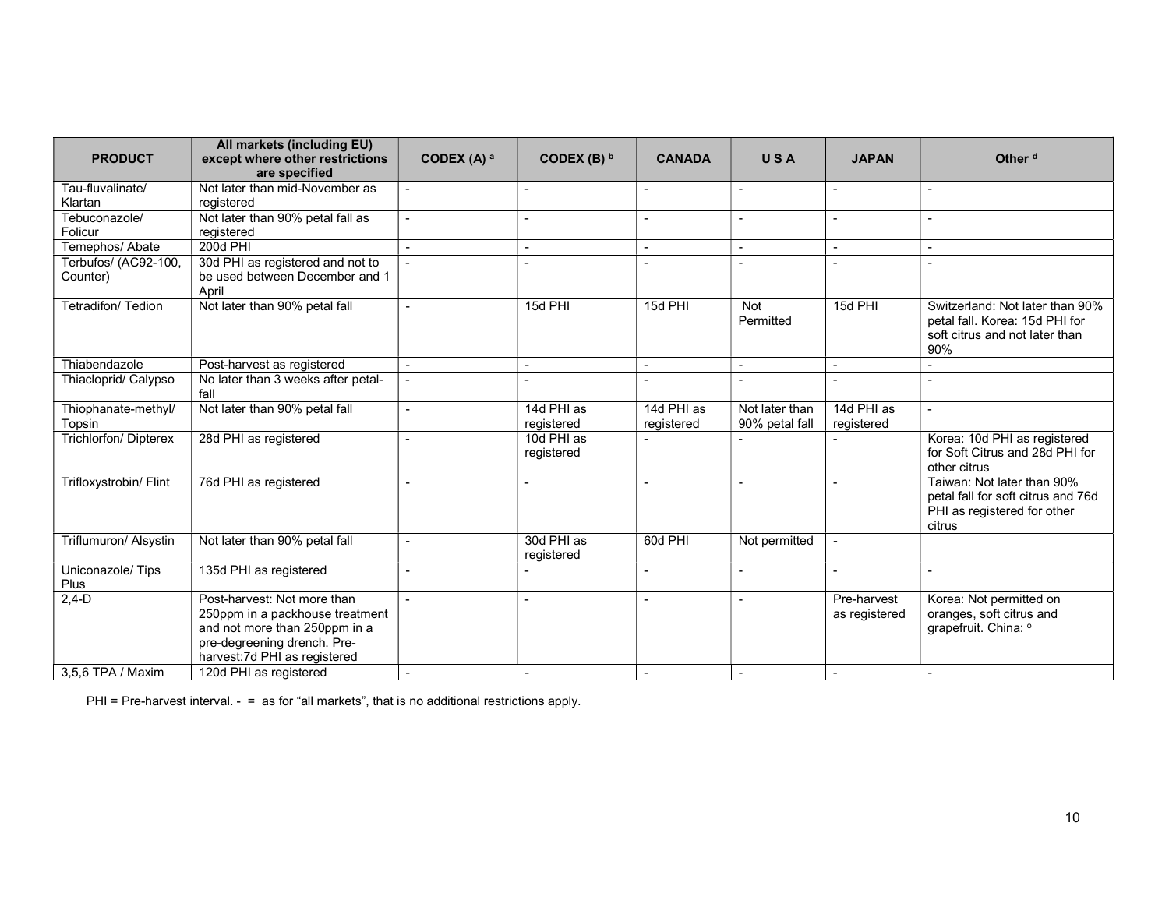| <b>PRODUCT</b>               | All markets (including EU)<br>except where other restrictions                                                                    | CODEX $(A)$ <sup>a</sup> | CODEX (B) $b$            | <b>CANADA</b>            | USA                      | <b>JAPAN</b>             | Other <sup>d</sup>                                                                                         |
|------------------------------|----------------------------------------------------------------------------------------------------------------------------------|--------------------------|--------------------------|--------------------------|--------------------------|--------------------------|------------------------------------------------------------------------------------------------------------|
|                              | are specified                                                                                                                    |                          |                          |                          |                          |                          |                                                                                                            |
| Tau-fluvalinate/             | Not later than mid-November as                                                                                                   |                          |                          |                          |                          |                          | $\blacksquare$                                                                                             |
| Klartan                      | registered                                                                                                                       |                          |                          |                          |                          |                          |                                                                                                            |
| Tebuconazole/                | Not later than 90% petal fall as                                                                                                 |                          |                          |                          |                          |                          |                                                                                                            |
| Folicur                      | registered                                                                                                                       |                          |                          |                          |                          |                          |                                                                                                            |
| Temephos/ Abate              | 200d PHI                                                                                                                         |                          |                          | $\overline{\phantom{a}}$ | $\overline{a}$           | $\overline{\phantom{a}}$ | $\overline{\phantom{a}}$                                                                                   |
| Terbufos/ (AC92-100,         | 30d PHI as registered and not to                                                                                                 |                          |                          |                          |                          |                          | $\sim$                                                                                                     |
| Counter)                     | be used between December and 1<br>April                                                                                          |                          |                          |                          |                          |                          |                                                                                                            |
| <b>Tetradifon/ Tedion</b>    | Not later than 90% petal fall                                                                                                    | $\overline{a}$           | 15d PHI                  | 15d PHI                  | Not<br>Permitted         | 15d PHI                  | Switzerland: Not later than 90%<br>petal fall. Korea: 15d PHI for<br>soft citrus and not later than<br>90% |
| Thiabendazole                | Post-harvest as registered                                                                                                       |                          |                          | $\sim$                   | $\overline{\phantom{a}}$ | $\sim$                   |                                                                                                            |
| Thiacloprid/ Calypso         | No later than 3 weeks after petal-<br>fall                                                                                       |                          |                          |                          |                          | $\overline{a}$           | $\sim$                                                                                                     |
| Thiophanate-methyl/          | Not later than 90% petal fall                                                                                                    | $\overline{a}$           | 14d PHI as               | 14d PHI as               | Not later than           | 14d PHI as               | $\sim$                                                                                                     |
| Topsin                       |                                                                                                                                  |                          | registered               | registered               | 90% petal fall           | registered               |                                                                                                            |
| <b>Trichlorfon/ Dipterex</b> | 28d PHI as registered                                                                                                            | $\sim$                   | 10d PHI as               |                          |                          |                          | Korea: 10d PHI as registered                                                                               |
|                              |                                                                                                                                  |                          | registered               |                          |                          |                          | for Soft Citrus and 28d PHI for<br>other citrus                                                            |
| Trifloxystrobin/ Flint       | 76d PHI as registered                                                                                                            |                          |                          |                          |                          | $\overline{\phantom{a}}$ | Taiwan: Not later than 90%<br>petal fall for soft citrus and 76d<br>PHI as registered for other<br>citrus  |
| Triflumuron/ Alsystin        | Not later than 90% petal fall                                                                                                    | $\blacksquare$           | 30d PHI as<br>registered | 60d PHI                  | Not permitted            | $\sim$                   |                                                                                                            |
| Uniconazole/Tips<br>Plus     | 135d PHI as registered                                                                                                           |                          |                          |                          |                          |                          |                                                                                                            |
| $2,4-D$                      | Post-harvest: Not more than                                                                                                      | $\sim$                   |                          |                          |                          | Pre-harvest              | Korea: Not permitted on                                                                                    |
|                              | 250ppm in a packhouse treatment<br>and not more than 250ppm in a<br>pre-degreening drench. Pre-<br>harvest: 7d PHI as registered |                          |                          |                          |                          | as registered            | oranges, soft citrus and<br>grapefruit. China: °                                                           |
| 3,5,6 TPA / Maxim            | 120d PHI as registered                                                                                                           |                          |                          |                          |                          |                          |                                                                                                            |

PHI = Pre-harvest interval. - = as for "all markets", that is no additional restrictions apply.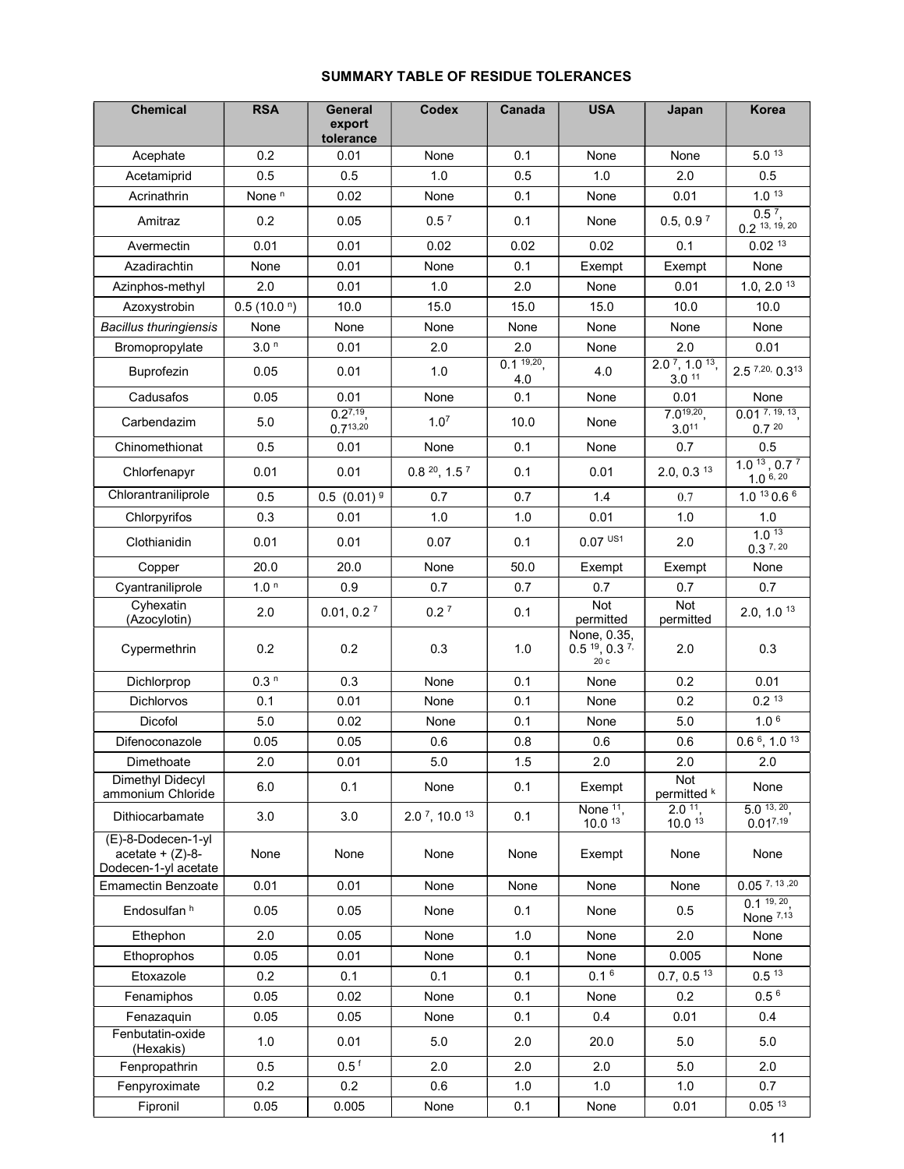# SUMMARY TABLE OF RESIDUE TOLERANCES

| <b>Chemical</b>                                                  | <b>RSA</b>                 | <b>General</b><br>export<br>tolerance | <b>Codex</b>                  | Canada                           | <b>USA</b>                                                  | Japan                                 | Korea                                         |
|------------------------------------------------------------------|----------------------------|---------------------------------------|-------------------------------|----------------------------------|-------------------------------------------------------------|---------------------------------------|-----------------------------------------------|
| Acephate                                                         | 0.2                        | 0.01                                  | None                          | 0.1                              | None                                                        | None                                  | 5.013                                         |
| Acetamiprid                                                      | 0.5                        | 0.5                                   | 1.0                           | 0.5                              | 1.0                                                         | 2.0                                   | 0.5                                           |
| Acrinathrin                                                      | None <sup>n</sup>          | 0.02                                  | None                          | 0.1                              | None                                                        | 0.01                                  | 1.013                                         |
| Amitraz                                                          | 0.2                        | 0.05                                  | 0.5 <sup>7</sup>              | 0.1                              | None                                                        | 0.5, 0.9 <sup>7</sup>                 | $0.57$ ,<br>$0.2$ 13, 19, 20                  |
| Avermectin                                                       | 0.01                       | 0.01                                  | 0.02                          | 0.02                             | 0.02                                                        | 0.1                                   | $0.02$ 13                                     |
| Azadirachtin                                                     | None                       | 0.01                                  | None                          | 0.1                              | Exempt                                                      | Exempt                                | None                                          |
| Azinphos-methyl                                                  | 2.0                        | 0.01                                  | 1.0                           | 2.0                              | None                                                        | 0.01                                  | 1.0, 2.0 $13$                                 |
| Azoxystrobin                                                     | $0.5(10.0)$ <sup>n</sup> ) | 10.0                                  | 15.0                          | 15.0                             | 15.0                                                        | 10.0                                  | 10.0                                          |
| <b>Bacillus thuringiensis</b>                                    | None                       | None                                  | None                          | None                             | None                                                        | None                                  | None                                          |
| Bromopropylate                                                   | 3.0 <sup>n</sup>           | 0.01                                  | 2.0                           | 2.0                              | None                                                        | 2.0                                   | 0.01                                          |
| Buprofezin                                                       | 0.05                       | 0.01                                  | 1.0                           | $0.1 \frac{19,20}{19,20}$<br>4.0 | 4.0                                                         | $2.07$ , 1.0 <sup>13</sup> ,<br>3.011 | $2.5$ 7,20, 0.313                             |
| Cadusafos                                                        | 0.05                       | 0.01                                  | None                          | 0.1                              | None                                                        | 0.01                                  | None                                          |
| Carbendazim                                                      | 5.0                        | $0.2^{7,19}$<br>$0.7^{13,20}$         | 1.0 <sup>7</sup>              | 10.0                             | None                                                        | $7.0^{19,20}$ ,<br>$3.0^{11}$         | $0.01$ 7, 19, 13<br>0.720                     |
| Chinomethionat                                                   | 0.5                        | 0.01                                  | None                          | 0.1                              | None                                                        | 0.7                                   | 0.5                                           |
| Chlorfenapyr                                                     | 0.01                       | 0.01                                  | $0.8^{20}$ , 1.5 <sup>7</sup> | 0.1                              | 0.01                                                        | 2.0, 0.3 $13$                         | $1.0^{13}$ , 0.7 <sup>7</sup><br>$1.0^{6,20}$ |
| Chlorantraniliprole                                              | 0.5                        | $0.5$ (0.01) $9$                      | 0.7                           | 0.7                              | 1.4                                                         | 0.7                                   | $1.0^{13}0.6^{6}$                             |
| Chlorpyrifos                                                     | 0.3                        | 0.01                                  | 1.0                           | 1.0                              | 0.01                                                        | 1.0                                   | 1.0                                           |
| Clothianidin                                                     | 0.01                       | 0.01                                  | 0.07                          | 0.1                              | $0.07$ US1                                                  | 2.0                                   | 1.0 <sup>13</sup><br>0.377, 20                |
| Copper                                                           | 20.0                       | 20.0                                  | None                          | 50.0                             | Exempt                                                      | Exempt                                | None                                          |
| Cyantraniliprole                                                 | 1.0 <sup>n</sup>           | 0.9                                   | 0.7                           | 0.7                              | 0.7                                                         | 0.7                                   | 0.7                                           |
| Cyhexatin<br>(Azocylotin)                                        | 2.0                        | 0.01, 0.2 <sup>7</sup>                | 0.27                          | 0.1                              | Not<br>permitted                                            | Not<br>permitted                      | $2.0, 1.0$ <sup>13</sup>                      |
| Cypermethrin                                                     | 0.2                        | 0.2                                   | 0.3                           | 1.0                              | None, 0.35,<br>0.5 <sup>19</sup> , 0.3 <sup>7</sup><br>20 c | 2.0                                   | 0.3                                           |
| Dichlorprop                                                      | 0.3 <sup>n</sup>           | 0.3                                   | None                          | 0.1                              | None                                                        | 0.2                                   | 0.01                                          |
| Dichlorvos                                                       | 0.1                        | 0.01                                  | None                          | 0.1                              | None                                                        | 0.2                                   | $0.2^{\;13}$                                  |
| Dicofol                                                          | 5.0                        | 0.02                                  | None                          | 0.1                              | None                                                        | 5.0                                   | 1.0 <sup>6</sup>                              |
| Difenoconazole                                                   | 0.05                       | 0.05                                  | 0.6                           | 0.8                              | 0.6                                                         | 0.6                                   | $0.66$ , 1.0 <sup>13</sup>                    |
| Dimethoate                                                       | 2.0                        | 0.01                                  | 5.0                           | 1.5                              | $2.0\,$                                                     | 2.0                                   | 2.0                                           |
| Dimethyl Didecyl<br>ammonium Chloride                            | 6.0                        | 0.1                                   | None                          | 0.1                              | Exempt                                                      | Not<br>permitted k                    | None                                          |
| Dithiocarbamate                                                  | 3.0                        | 3.0                                   | $2.07$ , 10.0 <sup>13</sup>   | 0.1                              | None <sup>11</sup> ,<br>10.013                              | 2.0 <sup>11</sup><br>$10.01^{3}$      | $5.0$ $13, 20$<br>$0.01^{7,19}$               |
| (E)-8-Dodecen-1-yl<br>$acetate + (Z)-8-$<br>Dodecen-1-yl acetate | None                       | None                                  | None                          | None                             | Exempt                                                      | None                                  | None                                          |
| <b>Emamectin Benzoate</b>                                        | 0.01                       | 0.01                                  | None                          | None                             | None                                                        | None                                  | $0.05$ $7, 13, 20$                            |
| Endosulfan h                                                     | 0.05                       | 0.05                                  | None                          | 0.1                              | None                                                        | 0.5                                   | $0.1 \frac{19}{20}$<br>None <sup>7,13</sup>   |
| Ethephon                                                         | 2.0                        | 0.05                                  | None                          | 1.0                              | None                                                        | 2.0                                   | None                                          |
| Ethoprophos                                                      | 0.05                       | 0.01                                  | None                          | 0.1                              | None                                                        | 0.005                                 | None                                          |
| Etoxazole                                                        | 0.2                        | 0.1                                   | 0.1                           | 0.1                              | 0.1 <sup>6</sup>                                            | $0.7, 0.5$ <sup>13</sup>              | 0.5 <sup>13</sup>                             |
| Fenamiphos                                                       | 0.05                       | 0.02                                  | None                          | 0.1                              | None                                                        | 0.2                                   | 0.5 <sup>6</sup>                              |
| Fenazaquin                                                       | 0.05                       | 0.05                                  | None                          | 0.1                              | 0.4                                                         | 0.01                                  | 0.4                                           |
| Fenbutatin-oxide<br>(Hexakis)                                    | 1.0                        | 0.01                                  | 5.0                           | 2.0                              | 20.0                                                        | 5.0                                   | 5.0                                           |
| Fenpropathrin                                                    | 0.5                        | 0.5 <sup>f</sup>                      | 2.0                           | 2.0                              | 2.0                                                         | 5.0                                   | 2.0                                           |
| Fenpyroximate                                                    | 0.2                        | 0.2                                   | 0.6                           | $1.0$                            | 1.0                                                         | 1.0                                   | 0.7                                           |
| Fipronil                                                         | 0.05                       | 0.005                                 | None                          | 0.1                              | None                                                        | 0.01                                  | $0.05$ $13$                                   |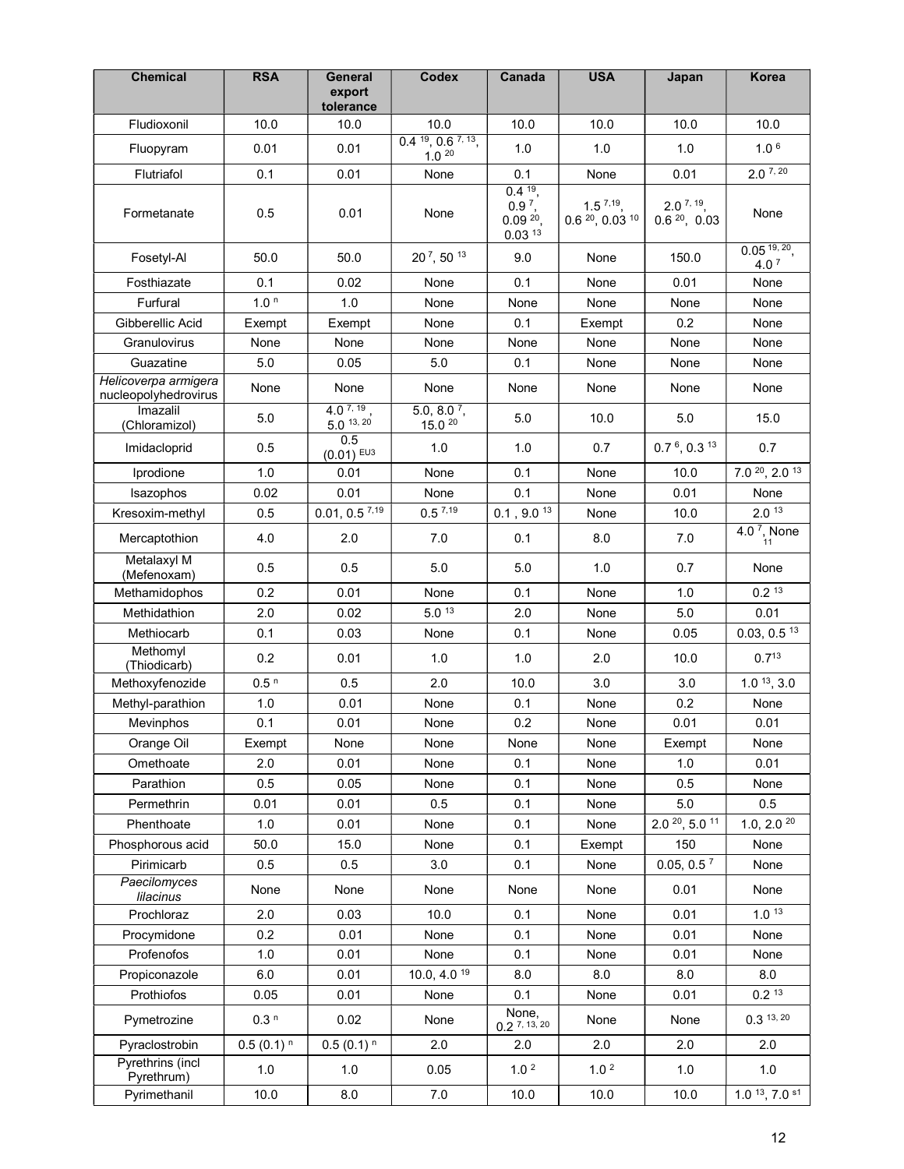| <b>Chemical</b>                              | <b>RSA</b>       | <b>General</b><br>export<br>tolerance | <b>Codex</b>                                | Canada                                             | <b>USA</b>                           | Japan                                 | Korea                                        |
|----------------------------------------------|------------------|---------------------------------------|---------------------------------------------|----------------------------------------------------|--------------------------------------|---------------------------------------|----------------------------------------------|
| Fludioxonil                                  | 10.0             | 10.0                                  | 10.0                                        | 10.0                                               | 10.0                                 | 10.0                                  | 10.0                                         |
| Fluopyram                                    | 0.01             | 0.01                                  | $0.4^{19}$ , 0.6 $^{7, 13}$ ,<br>$1.0^{20}$ | 1.0                                                | 1.0                                  | 1.0                                   | 1.0 <sup>6</sup>                             |
| Flutriafol                                   | 0.1              | 0.01                                  | None                                        | 0.1                                                | None                                 | 0.01                                  | 2.077,20                                     |
| Formetanate                                  | 0.5              | 0.01                                  | None                                        | $0.4^{19}$<br>0.97<br>0.0920<br>0.03 <sup>13</sup> | $1.5^{7,19}$ ,<br>$0.620$ , $0.0310$ | 2.077, 19<br>$0.6^{20}$ , 0.03        | None                                         |
| Fosetyl-Al                                   | 50.0             | 50.0                                  | 207.5013                                    | 9.0                                                | None                                 | 150.0                                 | $0.05$ <sup>19, 20</sup><br>4.0 <sup>7</sup> |
| Fosthiazate                                  | 0.1              | 0.02                                  | None                                        | 0.1                                                | None                                 | 0.01                                  | None                                         |
| Furfural                                     | 1.0 <sup>n</sup> | 1.0                                   | None                                        | None                                               | None                                 | None                                  | None                                         |
| Gibberellic Acid                             | Exempt           | Exempt                                | None                                        | 0.1                                                | Exempt                               | 0.2                                   | None                                         |
| Granulovirus                                 | None             | None                                  | None                                        | None                                               | None                                 | None                                  | None                                         |
| Guazatine                                    | 5.0              | 0.05                                  | 5.0                                         | 0.1                                                | None                                 | None                                  | None                                         |
| Helicoverpa armigera<br>nucleopolyhedrovirus | None             | None                                  | None                                        | None                                               | None                                 | None                                  | None                                         |
| Imazalil<br>(Chloramizol)                    | 5.0              | 4.077, 19<br>$5.0$ 13, 20             | 5.0, 8.0 $^7$ ,<br>15.0 20                  | 5.0                                                | 10.0                                 | 5.0                                   | 15.0                                         |
| Imidacloprid                                 | 0.5              | 0.5<br>$(0.01)$ EU3                   | 1.0                                         | 1.0                                                | 0.7                                  | $0.76$ , 0.3 <sup>13</sup>            | 0.7                                          |
| Iprodione                                    | 1.0              | 0.01                                  | None                                        | 0.1                                                | None                                 | 10.0                                  | 7.0 20, 2.0 13                               |
| Isazophos                                    | 0.02             | 0.01                                  | None                                        | 0.1                                                | None                                 | 0.01                                  | None                                         |
| Kresoxim-methyl                              | 0.5              | $0.01, 0.5$ <sup>7,19</sup>           | 0.5719                                      | $0.1$ , $9.0$ <sup>13</sup>                        | None                                 | 10.0                                  | 2.0 <sup>13</sup>                            |
| Mercaptothion                                | 4.0              | 2.0                                   | 7.0                                         | 0.1                                                | 8.0                                  | 7.0                                   | 4.0 7, None<br>11                            |
| Metalaxyl M<br>(Mefenoxam)                   | 0.5              | 0.5                                   | 5.0                                         | 5.0                                                | 1.0                                  | 0.7                                   | None                                         |
| Methamidophos                                | 0.2              | 0.01                                  | None                                        | 0.1                                                | None                                 | 1.0                                   | $0.2^{\;13}$                                 |
| Methidathion                                 | 2.0              | 0.02                                  | 5.013                                       | 2.0                                                | None                                 | 5.0                                   | 0.01                                         |
| Methiocarb                                   | 0.1              | 0.03                                  | None                                        | 0.1                                                | None                                 | 0.05                                  | $0.03, 0.5$ <sup>13</sup>                    |
| Methomyl<br>(Thiodicarb)                     | 0.2              | 0.01                                  | 1.0                                         | 1.0                                                | 2.0                                  | 10.0                                  | $0.7^{13}$                                   |
| Methoxyfenozide                              | 0.5 <sup>n</sup> | 0.5                                   | 2.0                                         | 10.0                                               | 3.0                                  | 3.0                                   | 1.0 <sup>13</sup> , 3.0                      |
| Methyl-parathion                             | 1.0              | 0.01                                  | None                                        | 0.1                                                | None                                 | 0.2                                   | None                                         |
| Mevinphos                                    | 0.1              | 0.01                                  | None                                        | 0.2                                                | None                                 | 0.01                                  | 0.01                                         |
| Orange Oil                                   | Exempt           | None                                  | None                                        | None                                               | None                                 | Exempt                                | None                                         |
| Omethoate                                    | 2.0              | 0.01                                  | None                                        | 0.1                                                | None                                 | 1.0                                   | 0.01                                         |
| Parathion                                    | 0.5              | 0.05                                  | None                                        | 0.1                                                | None                                 | 0.5                                   | None                                         |
| Permethrin                                   | 0.01             | 0.01                                  | 0.5                                         | 0.1                                                | None                                 | 5.0                                   | 0.5                                          |
| Phenthoate                                   | 1.0              | 0.01                                  | None                                        | 0.1                                                | None                                 | $2.0\frac{20}{7}$ , 5.0 <sup>11</sup> | 1.0, 2.0 $20$                                |
| Phosphorous acid                             | 50.0             | 15.0                                  | None                                        | 0.1                                                | Exempt                               | 150                                   | None                                         |
| Pirimicarb<br>Paecilomyces                   | 0.5              | 0.5                                   | 3.0                                         | 0.1                                                | None                                 | 0.05, 0.5 <sup>7</sup>                | None                                         |
| lilacinus                                    | None             | None                                  | None                                        | None                                               | None                                 | 0.01                                  | None                                         |
| Prochloraz                                   | 2.0              | 0.03                                  | 10.0                                        | 0.1                                                | None                                 | 0.01                                  | 1.013                                        |
| Procymidone                                  | 0.2              | 0.01                                  | None                                        | 0.1                                                | None                                 | 0.01                                  | None                                         |
| Profenofos                                   | 1.0              | 0.01                                  | None                                        | 0.1                                                | None                                 | 0.01                                  | None                                         |
| Propiconazole                                | 6.0              | 0.01                                  | 10.0, 4.0 19                                | 8.0                                                | 8.0                                  | 8.0                                   | 8.0                                          |
| Prothiofos                                   | 0.05             | 0.01                                  | None                                        | 0.1                                                | None                                 | 0.01                                  | $0.2^{\;13}$                                 |
| Pymetrozine                                  | 0.3 <sup>n</sup> | 0.02                                  | None                                        | None,<br>$0.2$ 7, 13, 20                           | None                                 | None                                  | $0.3$ 13, 20                                 |
| Pyraclostrobin                               | $0.5(0.1)^n$     | $0.5(0.1)^n$                          | 2.0                                         | 2.0                                                | 2.0                                  | 2.0                                   | 2.0                                          |
| Pyrethrins (incl<br>Pyrethrum)               | 1.0              | 1.0                                   | 0.05                                        | 1.0 <sup>2</sup>                                   | 1.0 <sup>2</sup>                     | 1.0                                   | 1.0                                          |
| Pyrimethanil                                 | 10.0             | 8.0                                   | $7.0\,$                                     | 10.0                                               | 10.0                                 | 10.0                                  | $1.0^{13}$ , $7.0^{51}$                      |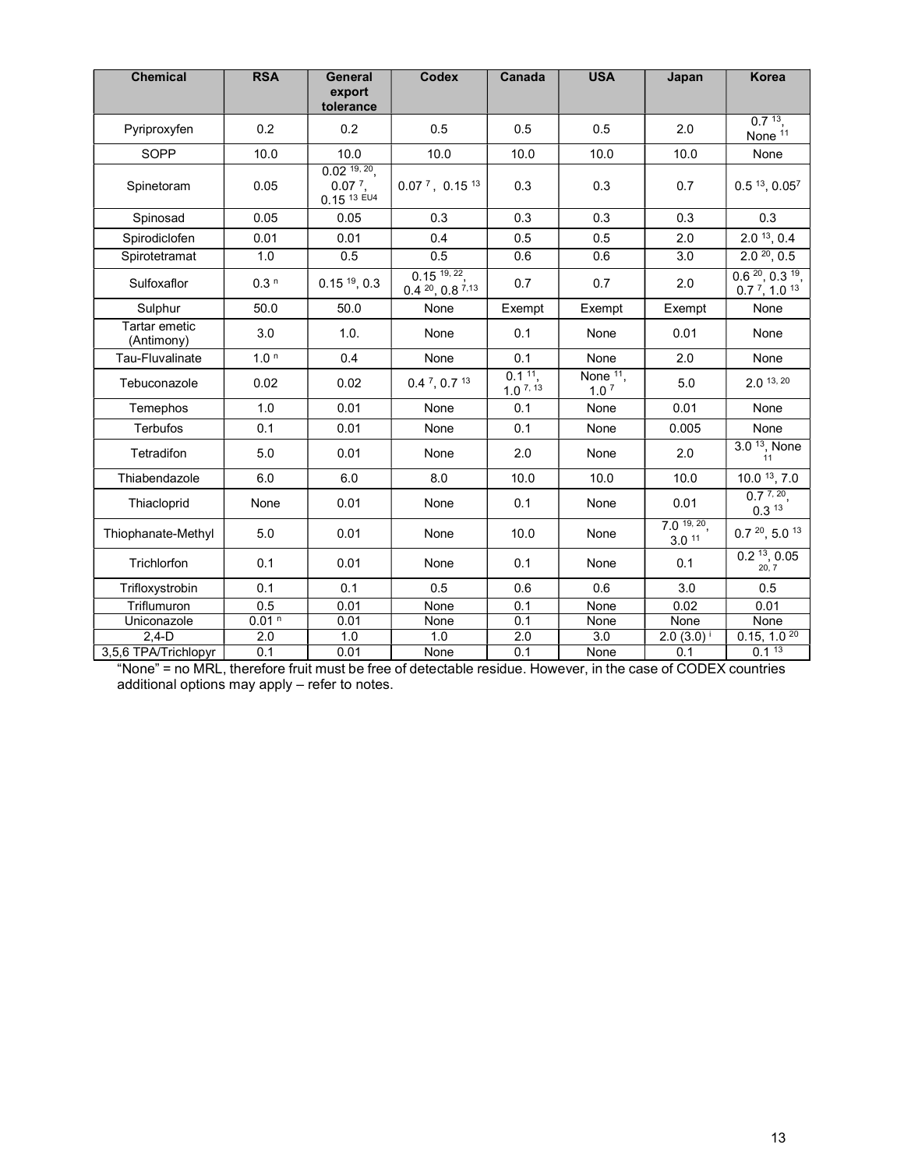| <b>Chemical</b>             | <b>RSA</b>        | <b>General</b><br>export<br>tolerance                                  | <b>Codex</b>                                | Canada                            | <b>USA</b>                               | Japan                              | <b>Korea</b>                                                             |
|-----------------------------|-------------------|------------------------------------------------------------------------|---------------------------------------------|-----------------------------------|------------------------------------------|------------------------------------|--------------------------------------------------------------------------|
| Pyriproxyfen                | 0.2               | 0.2                                                                    | 0.5                                         | 0.5                               | 0.5                                      | 2.0                                | $0.7^{13}$<br>None <sup>11</sup>                                         |
| SOPP                        | 10.0              | 10.0                                                                   | 10.0                                        | 10.0                              | 10.0                                     | 10.0                               | None                                                                     |
| Spinetoram                  | 0.05              | $0.02$ <sup>19, 20</sup> ,<br>$0.077$ .<br>$0.15^{13}$ EU <sub>4</sub> | $0.07^7$ , 0.15 <sup>13</sup>               | 0.3                               | 0.3                                      | 0.7                                | $0.5^{13}$ , 0.057                                                       |
| Spinosad                    | 0.05              | 0.05                                                                   | 0.3                                         | 0.3                               | 0.3                                      | 0.3                                | 0.3                                                                      |
| Spirodiclofen               | 0.01              | 0.01                                                                   | 0.4                                         | 0.5                               | 0.5                                      | 2.0                                | 2.0 <sup>13</sup> , 0.4                                                  |
| Spirotetramat               | 1.0               | 0.5                                                                    | 0.5                                         | 0.6                               | 0.6                                      | 3.0                                | $2.0\frac{20}{10}$ , 0.5                                                 |
| Sulfoxaflor                 | 0.3 <sup>n</sup>  | $0.15^{19}$ , 0.3                                                      | $0.15$ 19, 22.<br>$0.4^{20}$ , 0.8 $7^{13}$ | 0.7                               | 0.7                                      | 2.0                                | $0.6^{20}$ , 0.3 <sup>19</sup> ,<br>$0.7\frac{7}{1}$ , 1.0 <sup>13</sup> |
| Sulphur                     | 50.0              | 50.0                                                                   | None                                        | Exempt                            | Exempt                                   | Exempt                             | None                                                                     |
| Tartar emetic<br>(Antimony) | 3.0               | 1.0.                                                                   | None                                        | 0.1                               | None                                     | 0.01                               | None                                                                     |
| Tau-Fluvalinate             | 1.0 <sup>n</sup>  | 0.4                                                                    | None                                        | 0.1                               | None                                     | 2.0                                | None                                                                     |
| Tebuconazole                | 0.02              | 0.02                                                                   | $0.4^7$ , $0.7^13$                          | 0.1 <sup>11</sup><br>$1.0^{7,13}$ | None <sup>11</sup> ,<br>1.0 <sup>7</sup> | 5.0                                | $2.0$ 13, 20                                                             |
| Temephos                    | 1.0               | 0.01                                                                   | None                                        | 0.1                               | None                                     | 0.01                               | None                                                                     |
| Terbufos                    | 0.1               | 0.01                                                                   | None                                        | 0.1                               | None                                     | 0.005                              | None                                                                     |
| Tetradifon                  | 5.0               | 0.01                                                                   | None                                        | 2.0                               | None                                     | 2.0                                | $3.013$ , None<br>11                                                     |
| Thiabendazole               | 6.0               | 6.0                                                                    | 8.0                                         | 10.0                              | 10.0                                     | 10.0                               | $10.013$ , 7.0                                                           |
| Thiacloprid                 | None              | 0.01                                                                   | None                                        | 0.1                               | None                                     | 0.01                               | $0.7^{7,20}$ ,<br>$0.3^{13}$                                             |
| Thiophanate-Methyl          | 5.0               | 0.01                                                                   | None                                        | 10.0                              | None                                     | $7.0$ 19, 20,<br>3.0 <sup>11</sup> | $0.7^{20}$ , 5.0 $^{13}$                                                 |
| Trichlorfon                 | 0.1               | 0.01                                                                   | None                                        | 0.1                               | None                                     | 0.1                                | 0.2 <sup>13</sup> , 0.05<br>20.7                                         |
| Trifloxystrobin             | 0.1               | 0.1                                                                    | 0.5                                         | 0.6                               | 0.6                                      | 3.0                                | 0.5                                                                      |
| Triflumuron                 | 0.5               | 0.01                                                                   | None                                        | 0.1                               | None                                     | 0.02                               | 0.01                                                                     |
| Uniconazole                 | 0.01 <sup>n</sup> | 0.01                                                                   | None                                        | 0.1                               | None                                     | None                               | None                                                                     |
| $2,4-D$                     | 2.0               | 1.0                                                                    | 1.0                                         | 2.0                               | 3.0                                      | $2.0(3.0)^{i}$                     | $0.15, 1.0^{20}$                                                         |
| 3,5,6 TPA/Trichlopyr        | 0.1               | 0.01                                                                   | None                                        | 0.1                               | None                                     | 0.1                                | 0.113                                                                    |

"None" = no MRL, therefore fruit must be free of detectable residue. However, in the case of CODEX countries additional options may apply – refer to notes.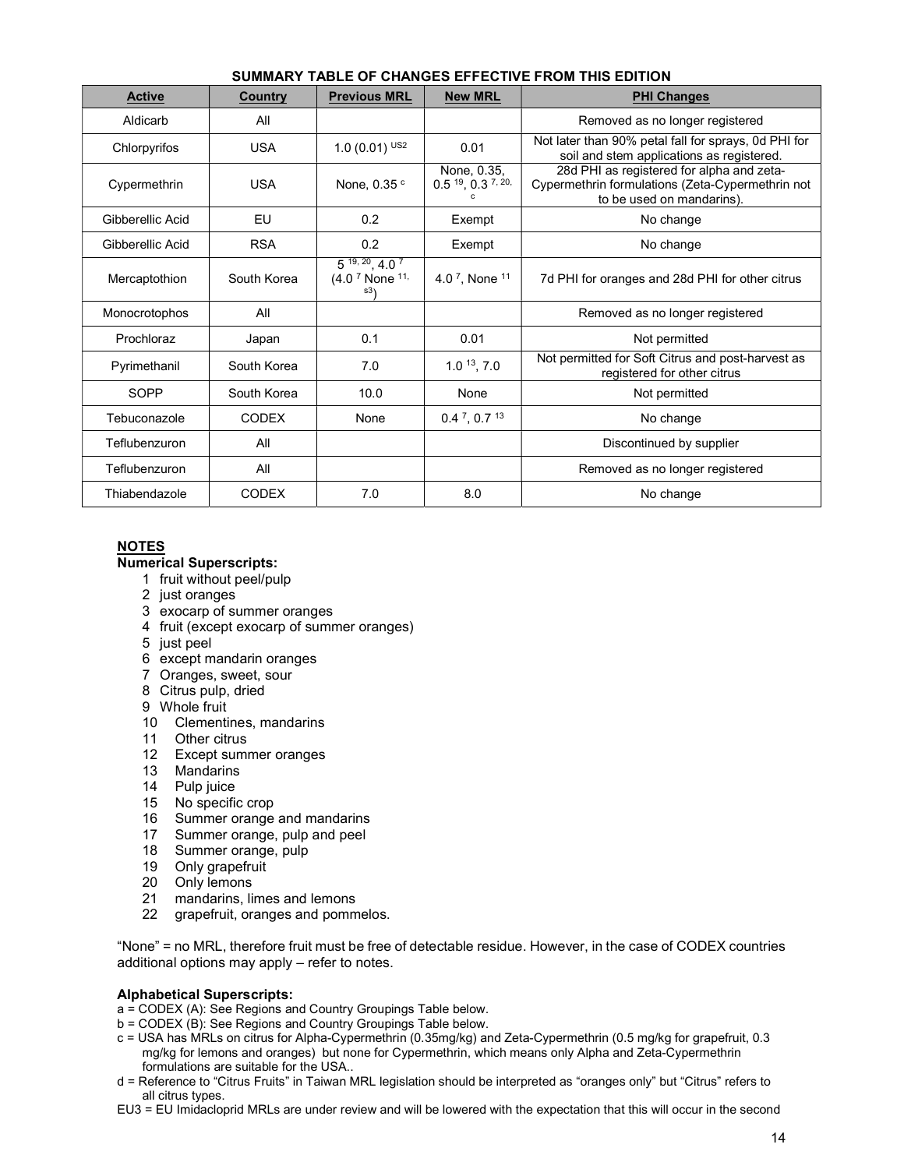| <b>Active</b>    | Country      | <b>Previous MRL</b>                             | <b>New MRL</b>                                             | <b>PHI Changes</b>                                                                                                         |
|------------------|--------------|-------------------------------------------------|------------------------------------------------------------|----------------------------------------------------------------------------------------------------------------------------|
| Aldicarb         | All          |                                                 |                                                            | Removed as no longer registered                                                                                            |
| Chlorpyrifos     | <b>USA</b>   | 1.0 $(0.01)^{US2}$                              | 0.01                                                       | Not later than 90% petal fall for sprays, 0d PHI for<br>soil and stem applications as registered.                          |
| Cypermethrin     | <b>USA</b>   | None, 0.35 °                                    | None, 0.35,<br>$0.5$ <sup>19</sup> , 0.3 <sup>7, 20,</sup> | 28d PHI as registered for alpha and zeta-<br>Cypermethrin formulations (Zeta-Cypermethrin not<br>to be used on mandarins). |
| Gibberellic Acid | EU           | 0.2                                             | Exempt                                                     | No change                                                                                                                  |
| Gibberellic Acid | <b>RSA</b>   | 0.2                                             | Exempt                                                     | No change                                                                                                                  |
| Mercaptothion    | South Korea  | $5^{19, 20}, 4.0^{7}$<br>(4.0 7 None 11,<br>s3۱ | 4.0 $^7$ , None $^{11}$                                    | 7d PHI for oranges and 28d PHI for other citrus                                                                            |
| Monocrotophos    | All          |                                                 |                                                            | Removed as no longer registered                                                                                            |
| Prochloraz       | Japan        | 0.1                                             | 0.01                                                       | Not permitted                                                                                                              |
| Pyrimethanil     | South Korea  | 7.0                                             | 1.0 <sup>13</sup> , 7.0                                    | Not permitted for Soft Citrus and post-harvest as<br>registered for other citrus                                           |
| SOPP             | South Korea  | 10.0                                            | None                                                       | Not permitted                                                                                                              |
| Tebuconazole     | <b>CODEX</b> | None                                            | $0.4^7$ , 0.7 <sup>13</sup>                                | No change                                                                                                                  |
| Teflubenzuron    | All          |                                                 |                                                            | Discontinued by supplier                                                                                                   |
| Teflubenzuron    | All          |                                                 |                                                            | Removed as no longer registered                                                                                            |
| Thiabendazole    | <b>CODEX</b> | 7.0                                             | 8.0                                                        | No change                                                                                                                  |

## SUMMARY TABLE OF CHANGES EFFECTIVE FROM THIS EDITION

## NOTES

# Numerical Superscripts:

- 1 fruit without peel/pulp
- 2 just oranges
- 3 exocarp of summer oranges
- 4 fruit (except exocarp of summer oranges)
- 5 just peel
- 6 except mandarin oranges
- 7 Oranges, sweet, sour
- 8 Citrus pulp, dried
- 9 Whole fruit
- 10 Clementines, mandarins
- 11 Other citrus
- 12 Except summer oranges
- 13 Mandarins
- 14 Pulp juice
- 15 No specific crop
- 16 Summer orange and mandarins
- 17 Summer orange, pulp and peel
- 18 Summer orange, pulp
- 19 Only grapefruit
- 20 Only lemons
- 21 mandarins, limes and lemons
- 22 grapefruit, oranges and pommelos.

"None" = no MRL, therefore fruit must be free of detectable residue. However, in the case of CODEX countries additional options may apply – refer to notes.

#### Alphabetical Superscripts:

a = CODEX (A): See Regions and Country Groupings Table below.

- b = CODEX (B): See Regions and Country Groupings Table below.
- c = USA has MRLs on citrus for Alpha-Cypermethrin (0.35mg/kg) and Zeta-Cypermethrin (0.5 mg/kg for grapefruit, 0.3 mg/kg for lemons and oranges) but none for Cypermethrin, which means only Alpha and Zeta-Cypermethrin formulations are suitable for the USA..
- d = Reference to "Citrus Fruits" in Taiwan MRL legislation should be interpreted as "oranges only" but "Citrus" refers to all citrus types.
- EU3 = EU Imidacloprid MRLs are under review and will be lowered with the expectation that this will occur in the second